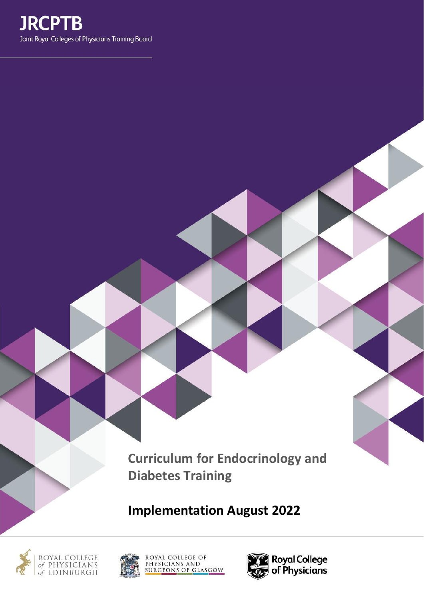

**Curriculum for Endocrinology and Diabetes Training**

**Implementation August 2022**







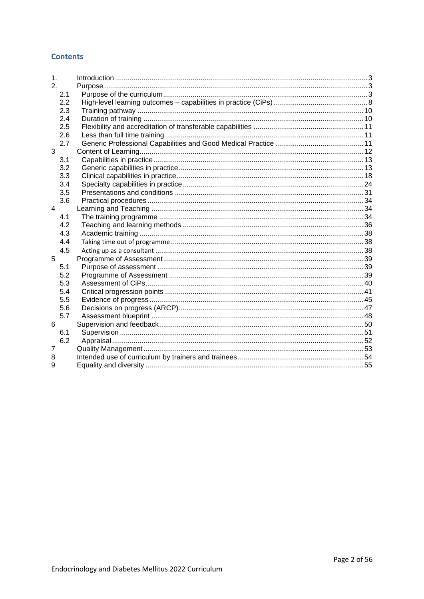## **Contents**

| 2.  |  |
|-----|--|
|     |  |
| 2.1 |  |
| 2.2 |  |
| 2.3 |  |
| 2.4 |  |
| 2.5 |  |
| 2.6 |  |
| 2.7 |  |
| 3   |  |
| 3.1 |  |
| 3.2 |  |
| 3.3 |  |
| 3.4 |  |
| 3.5 |  |
| 3.6 |  |
| 4   |  |
| 4.1 |  |
| 4.2 |  |
| 4.3 |  |
| 4.4 |  |
| 4.5 |  |
| 5   |  |
| 5.1 |  |
| 5.2 |  |
| 5.3 |  |
| 5.4 |  |
| 5.5 |  |
| 5.6 |  |
| 5.7 |  |
| 6   |  |
| 6.1 |  |
| 6.2 |  |
| 7   |  |
| 8   |  |
| 9   |  |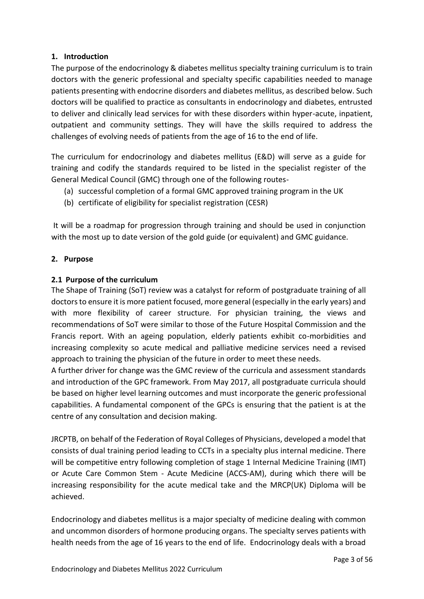# <span id="page-2-0"></span>**1. Introduction**

The purpose of the endocrinology & diabetes mellitus specialty training curriculum is to train doctors with the generic professional and specialty specific capabilities needed to manage patients presenting with endocrine disorders and diabetes mellitus, as described below. Such doctors will be qualified to practice as consultants in endocrinology and diabetes, entrusted to deliver and clinically lead services for with these disorders within hyper-acute, inpatient, outpatient and community settings. They will have the skills required to address the challenges of evolving needs of patients from the age of 16 to the end of life.

The curriculum for endocrinology and diabetes mellitus (E&D) will serve as a guide for training and codify the standards required to be listed in the specialist register of the General Medical Council (GMC) through one of the following routes-

- (a) successful completion of a formal GMC approved training program in the UK
- (b) certificate of eligibility for specialist registration (CESR)

It will be a roadmap for progression through training and should be used in conjunction with the most up to date version of the gold guide (or equivalent) and GMC guidance.

# <span id="page-2-1"></span>**2. Purpose**

# <span id="page-2-2"></span>**2.1 Purpose of the curriculum**

The Shape of Training (SoT) review was a catalyst for reform of postgraduate training of all doctors to ensure it is more patient focused, more general (especially in the early years) and with more flexibility of career structure. For physician training, the views and recommendations of SoT were similar to those of the Future Hospital Commission and the Francis report. With an ageing population, elderly patients exhibit co-morbidities and increasing complexity so acute medical and palliative medicine services need a revised approach to training the physician of the future in order to meet these needs.

A further driver for change was the GMC review of the curricula and assessment standards and introduction of the GPC framework. From May 2017, all postgraduate curricula should be based on higher level learning outcomes and must incorporate the generic professional capabilities. A fundamental component of the GPCs is ensuring that the patient is at the centre of any consultation and decision making.

JRCPTB, on behalf of the Federation of Royal Colleges of Physicians, developed a model that consists of dual training period leading to CCTs in a specialty plus internal medicine. There will be competitive entry following completion of stage 1 Internal Medicine Training (IMT) or Acute Care Common Stem - Acute Medicine (ACCS-AM), during which there will be increasing responsibility for the acute medical take and the MRCP(UK) Diploma will be achieved.

Endocrinology and diabetes mellitus is a major specialty of medicine dealing with common and uncommon disorders of hormone producing organs. The specialty serves patients with health needs from the age of 16 years to the end of life. Endocrinology deals with a broad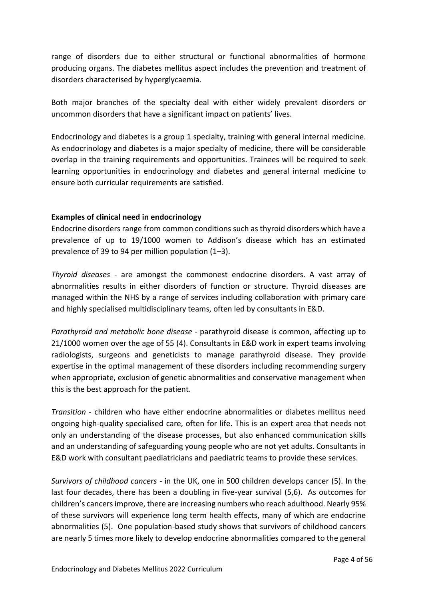range of disorders due to either structural or functional abnormalities of hormone producing organs. The diabetes mellitus aspect includes the prevention and treatment of disorders characterised by hyperglycaemia.

Both major branches of the specialty deal with either widely prevalent disorders or uncommon disorders that have a significant impact on patients' lives.

Endocrinology and diabetes is a group 1 specialty, training with general internal medicine. As endocrinology and diabetes is a major specialty of medicine, there will be considerable overlap in the training requirements and opportunities. Trainees will be required to seek learning opportunities in endocrinology and diabetes and general internal medicine to ensure both curricular requirements are satisfied.

# **Examples of clinical need in endocrinology**

Endocrine disorders range from common conditions such as thyroid disorders which have a prevalence of up to 19/1000 women to Addison's disease which has an estimated prevalence of 39 to 94 per million population (1–3).

*Thyroid diseases* - are amongst the commonest endocrine disorders. A vast array of abnormalities results in either disorders of function or structure. Thyroid diseases are managed within the NHS by a range of services including collaboration with primary care and highly specialised multidisciplinary teams, often led by consultants in E&D.

*Parathyroid and metabolic bone disease* - parathyroid disease is common, affecting up to 21/1000 women over the age of 55 (4). Consultants in E&D work in expert teams involving radiologists, surgeons and geneticists to manage parathyroid disease. They provide expertise in the optimal management of these disorders including recommending surgery when appropriate, exclusion of genetic abnormalities and conservative management when this is the best approach for the patient.

*Transition* - children who have either endocrine abnormalities or diabetes mellitus need ongoing high-quality specialised care, often for life. This is an expert area that needs not only an understanding of the disease processes, but also enhanced communication skills and an understanding of safeguarding young people who are not yet adults. Consultants in E&D work with consultant paediatricians and paediatric teams to provide these services.

*Survivors of childhood cancers* - in the UK, one in 500 children develops cancer (5). In the last four decades, there has been a doubling in five-year survival (5,6). As outcomes for children's cancers improve, there are increasing numbers who reach adulthood. Nearly 95% of these survivors will experience long term health effects, many of which are endocrine abnormalities (5). One population-based study shows that survivors of childhood cancers are nearly 5 times more likely to develop endocrine abnormalities compared to the general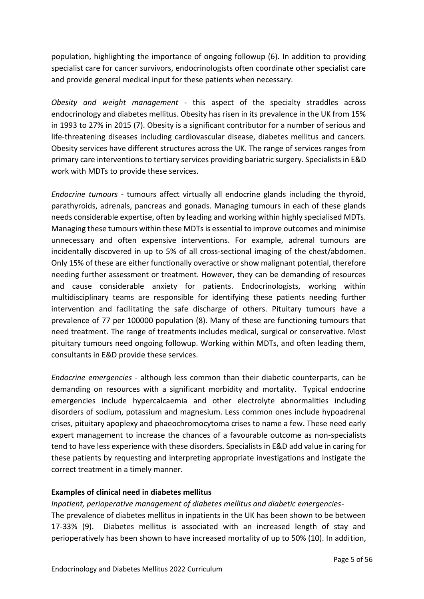population, highlighting the importance of ongoing followup (6). In addition to providing specialist care for cancer survivors, endocrinologists often coordinate other specialist care and provide general medical input for these patients when necessary.

*Obesity and weight management* - this aspect of the specialty straddles across endocrinology and diabetes mellitus. Obesity has risen in its prevalence in the UK from 15% in 1993 to 27% in 2015 (7). Obesity is a significant contributor for a number of serious and life-threatening diseases including cardiovascular disease, diabetes mellitus and cancers. Obesity services have different structures across the UK. The range of services ranges from primary care interventions to tertiary services providing bariatric surgery. Specialists in E&D work with MDTs to provide these services.

*Endocrine tumours* - tumours affect virtually all endocrine glands including the thyroid, parathyroids, adrenals, pancreas and gonads. Managing tumours in each of these glands needs considerable expertise, often by leading and working within highly specialised MDTs. Managing these tumours within these MDTs is essential to improve outcomes and minimise unnecessary and often expensive interventions. For example, adrenal tumours are incidentally discovered in up to 5% of all cross-sectional imaging of the chest/abdomen. Only 15% of these are either functionally overactive or show malignant potential, therefore needing further assessment or treatment. However, they can be demanding of resources and cause considerable anxiety for patients. Endocrinologists, working within multidisciplinary teams are responsible for identifying these patients needing further intervention and facilitating the safe discharge of others. Pituitary tumours have a prevalence of 77 per 100000 population (8). Many of these are functioning tumours that need treatment. The range of treatments includes medical, surgical or conservative. Most pituitary tumours need ongoing followup. Working within MDTs, and often leading them, consultants in E&D provide these services.

*Endocrine emergencies* - although less common than their diabetic counterparts, can be demanding on resources with a significant morbidity and mortality. Typical endocrine emergencies include hypercalcaemia and other electrolyte abnormalities including disorders of sodium, potassium and magnesium. Less common ones include hypoadrenal crises, pituitary apoplexy and phaeochromocytoma crises to name a few. These need early expert management to increase the chances of a favourable outcome as non-specialists tend to have less experience with these disorders. Specialists in E&D add value in caring for these patients by requesting and interpreting appropriate investigations and instigate the correct treatment in a timely manner.

## **Examples of clinical need in diabetes mellitus**

# *Inpatient, perioperative management of diabetes mellitus and diabetic emergencies*-The prevalence of diabetes mellitus in inpatients in the UK has been shown to be between 17-33% (9). Diabetes mellitus is associated with an increased length of stay and perioperatively has been shown to have increased mortality of up to 50% (10). In addition,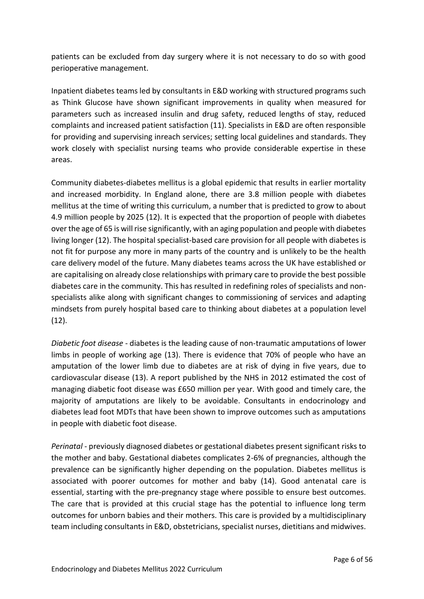patients can be excluded from day surgery where it is not necessary to do so with good perioperative management.

Inpatient diabetes teams led by consultants in E&D working with structured programs such as Think Glucose have shown significant improvements in quality when measured for parameters such as increased insulin and drug safety, reduced lengths of stay, reduced complaints and increased patient satisfaction (11). Specialists in E&D are often responsible for providing and supervising inreach services; setting local guidelines and standards. They work closely with specialist nursing teams who provide considerable expertise in these areas.

Community diabetes-diabetes mellitus is a global epidemic that results in earlier mortality and increased morbidity. In England alone, there are 3.8 million people with diabetes mellitus at the time of writing this curriculum, a number that is predicted to grow to about 4.9 million people by 2025 (12). It is expected that the proportion of people with diabetes over the age of 65 is will rise significantly, with an aging population and people with diabetes living longer (12). The hospital specialist-based care provision for all people with diabetes is not fit for purpose any more in many parts of the country and is unlikely to be the health care delivery model of the future. Many diabetes teams across the UK have established or are capitalising on already close relationships with primary care to provide the best possible diabetes care in the community. This has resulted in redefining roles of specialists and nonspecialists alike along with significant changes to commissioning of services and adapting mindsets from purely hospital based care to thinking about diabetes at a population level  $(12).$ 

*Diabetic foot disease* - diabetes is the leading cause of non-traumatic amputations of lower limbs in people of working age (13). There is evidence that 70% of people who have an amputation of the lower limb due to diabetes are at risk of dying in five years, due to cardiovascular disease (13). A report published by the NHS in 2012 estimated the cost of managing diabetic foot disease was £650 million per year. With good and timely care, the majority of amputations are likely to be avoidable. Consultants in endocrinology and diabetes lead foot MDTs that have been shown to improve outcomes such as amputations in people with diabetic foot disease.

*Perinatal* - previously diagnosed diabetes or gestational diabetes present significant risks to the mother and baby. Gestational diabetes complicates 2-6% of pregnancies, although the prevalence can be significantly higher depending on the population. Diabetes mellitus is associated with poorer outcomes for mother and baby (14). Good antenatal care is essential, starting with the pre-pregnancy stage where possible to ensure best outcomes. The care that is provided at this crucial stage has the potential to influence long term outcomes for unborn babies and their mothers. This care is provided by a multidisciplinary team including consultants in E&D, obstetricians, specialist nurses, dietitians and midwives.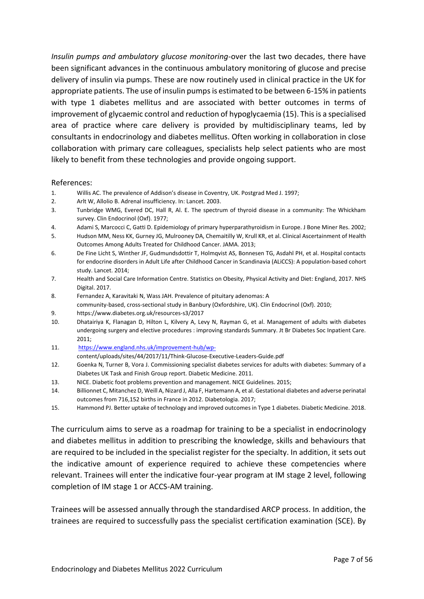*Insulin pumps and ambulatory glucose monitoring*-over the last two decades, there have been significant advances in the continuous ambulatory monitoring of glucose and precise delivery of insulin via pumps. These are now routinely used in clinical practice in the UK for appropriate patients. The use of insulin pumps is estimated to be between 6-15% in patients with type 1 diabetes mellitus and are associated with better outcomes in terms of improvement of glycaemic control and reduction of hypoglycaemia (15). This is a specialised area of practice where care delivery is provided by multidisciplinary teams, led by consultants in endocrinology and diabetes mellitus. Often working in collaboration in close collaboration with primary care colleagues, specialists help select patients who are most likely to benefit from these technologies and provide ongoing support.

#### References:

- 1. Willis AC. The prevalence of Addison's disease in Coventry, UK. Postgrad Med J. 1997;
- 2. Arlt W, Allolio B. Adrenal insufficiency. In: Lancet. 2003.
- 3. Tunbridge WMG, Evered DC, Hall R, Al. E. The spectrum of thyroid disease in a community: The Whickham survey. Clin Endocrinol (Oxf). 1977;
- 4. Adami S, Marcocci C, Gatti D. Epidemiology of primary hyperparathyroidism in Europe. J Bone Miner Res. 2002;
- 5. Hudson MM, Ness KK, Gurney JG, Mulrooney DA, Chemaitilly W, Krull KR, et al. Clinical Ascertainment of Health Outcomes Among Adults Treated for Childhood Cancer. JAMA. 2013;
- 6. De Fine Licht S, Winther JF, Gudmundsdottir T, Holmqvist AS, Bonnesen TG, Asdahl PH, et al. Hospital contacts for endocrine disorders in Adult Life after Childhood Cancer in Scandinavia (ALiCCS): A population-based cohort study. Lancet. 2014;
- 7. Health and Social Care Information Centre. Statistics on Obesity, Physical Activity and Diet: England, 2017. NHS Digital. 2017.
- 8. Fernandez A, Karavitaki N, Wass JAH. Prevalence of pituitary adenomas: A community-based, cross-sectional study in Banbury (Oxfordshire, UK). Clin Endocrinol (Oxf). 2010;
- 9. https://www.diabetes.org.uk/resources-s3/2017
- 10. Dhatairiya K, Flanagan D, Hilton L, Kilvery A, Levy N, Rayman G, et al. Management of adults with diabetes undergoing surgery and elective procedures : improving standards Summary. Jt Br Diabetes Soc Inpatient Care. 2011;
- 11. [https://www.england.nhs.uk/improvement-hub/wp](https://www.england.nhs.uk/improvement-hub/wp-)content/uploads/sites/44/2017/11/Think-Glucose-Executive-Leaders-Guide.pdf
- 12. Goenka N, Turner B, Vora J. Commissioning specialist diabetes services for adults with diabetes: Summary of a Diabetes UK Task and Finish Group report. Diabetic Medicine. 2011.
- 13. NICE. Diabetic foot problems prevention and management. NICE Guidelines. 2015;
- 14. Billionnet C, Mitanchez D, Weill A, Nizard J, Alla F, Hartemann A, et al. Gestational diabetes and adverse perinatal outcomes from 716,152 births in France in 2012. Diabetologia. 2017;
- 15. Hammond PJ. Better uptake of technology and improved outcomes in Type 1 diabetes. Diabetic Medicine. 2018.

The curriculum aims to serve as a roadmap for training to be a specialist in endocrinology and diabetes mellitus in addition to prescribing the knowledge, skills and behaviours that are required to be included in the specialist register for the specialty. In addition, it sets out the indicative amount of experience required to achieve these competencies where relevant. Trainees will enter the indicative four-year program at IM stage 2 level, following completion of IM stage 1 or ACCS-AM training.

Trainees will be assessed annually through the standardised ARCP process. In addition, the trainees are required to successfully pass the specialist certification examination (SCE). By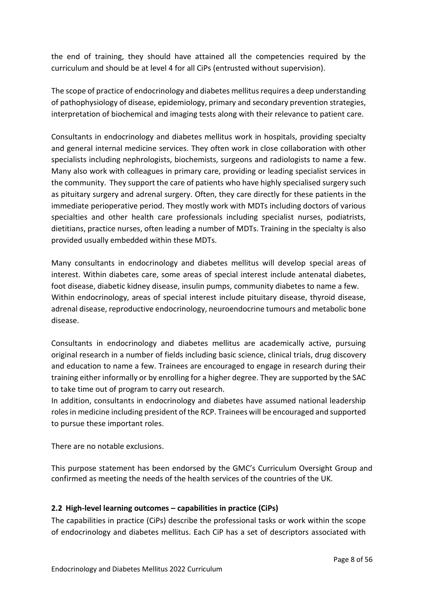the end of training, they should have attained all the competencies required by the curriculum and should be at level 4 for all CiPs (entrusted without supervision).

The scope of practice of endocrinology and diabetes mellitus requires a deep understanding of pathophysiology of disease, epidemiology, primary and secondary prevention strategies, interpretation of biochemical and imaging tests along with their relevance to patient care.

Consultants in endocrinology and diabetes mellitus work in hospitals, providing specialty and general internal medicine services. They often work in close collaboration with other specialists including nephrologists, biochemists, surgeons and radiologists to name a few. Many also work with colleagues in primary care, providing or leading specialist services in the community. They support the care of patients who have highly specialised surgery such as pituitary surgery and adrenal surgery. Often, they care directly for these patients in the immediate perioperative period. They mostly work with MDTs including doctors of various specialties and other health care professionals including specialist nurses, podiatrists, dietitians, practice nurses, often leading a number of MDTs. Training in the specialty is also provided usually embedded within these MDTs.

Many consultants in endocrinology and diabetes mellitus will develop special areas of interest. Within diabetes care, some areas of special interest include antenatal diabetes, foot disease, diabetic kidney disease, insulin pumps, community diabetes to name a few. Within endocrinology, areas of special interest include pituitary disease, thyroid disease, adrenal disease, reproductive endocrinology, neuroendocrine tumours and metabolic bone disease.

Consultants in endocrinology and diabetes mellitus are academically active, pursuing original research in a number of fields including basic science, clinical trials, drug discovery and education to name a few. Trainees are encouraged to engage in research during their training either informally or by enrolling for a higher degree. They are supported by the SAC to take time out of program to carry out research.

In addition, consultants in endocrinology and diabetes have assumed national leadership roles in medicine including president of the RCP. Trainees will be encouraged and supported to pursue these important roles.

There are no notable exclusions.

This purpose statement has been endorsed by the GMC's Curriculum Oversight Group and confirmed as meeting the needs of the health services of the countries of the UK.

# <span id="page-7-0"></span>**2.2 High-level learning outcomes – capabilities in practice (CiPs)**

The capabilities in practice (CiPs) describe the professional tasks or work within the scope of endocrinology and diabetes mellitus. Each CiP has a set of descriptors associated with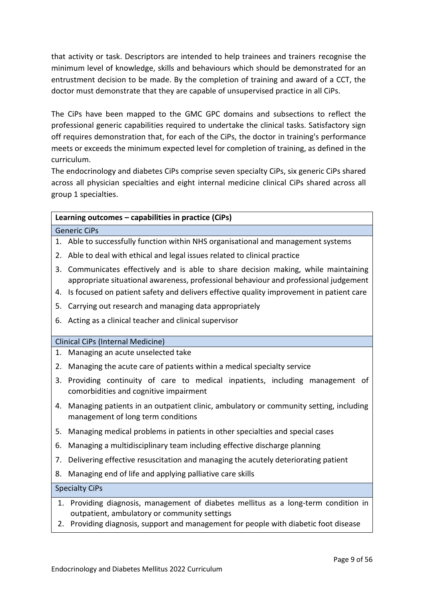that activity or task. Descriptors are intended to help trainees and trainers recognise the minimum level of knowledge, skills and behaviours which should be demonstrated for an entrustment decision to be made. By the completion of training and award of a CCT, the doctor must demonstrate that they are capable of unsupervised practice in all CiPs.

The CiPs have been mapped to the GMC GPC domains and subsections to reflect the professional generic capabilities required to undertake the clinical tasks. Satisfactory sign off requires demonstration that, for each of the CiPs, the doctor in training's performance meets or exceeds the minimum expected level for completion of training, as defined in the curriculum.

The endocrinology and diabetes CiPs comprise seven specialty CiPs, six generic CiPs shared across all physician specialties and eight internal medicine clinical CiPs shared across all group 1 specialties.

# **Learning outcomes – capabilities in practice (CiPs)**

Generic CiPs

- 1. Able to successfully function within NHS organisational and management systems
- 2. Able to deal with ethical and legal issues related to clinical practice
- 3. Communicates effectively and is able to share decision making, while maintaining appropriate situational awareness, professional behaviour and professional judgement
- 4. Is focused on patient safety and delivers effective quality improvement in patient care
- 5. Carrying out research and managing data appropriately
- 6. Acting as a clinical teacher and clinical supervisor

## Clinical CiPs (Internal Medicine)

- 1. Managing an acute unselected take
- 2. Managing the acute care of patients within a medical specialty service
- 3. Providing continuity of care to medical inpatients, including management of comorbidities and cognitive impairment
- 4. Managing patients in an outpatient clinic, ambulatory or community setting, including management of long term conditions
- 5. Managing medical problems in patients in other specialties and special cases
- 6. Managing a multidisciplinary team including effective discharge planning
- 7. Delivering effective resuscitation and managing the acutely deteriorating patient
- 8. Managing end of life and applying palliative care skills

#### Specialty CiPs

- 1. Providing diagnosis, management of diabetes mellitus as a long-term condition in outpatient, ambulatory or community settings
- 2. Providing diagnosis, support and management for people with diabetic foot disease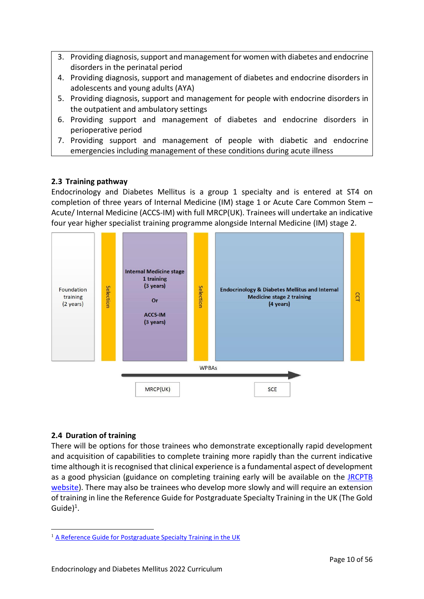- 3. Providing diagnosis, support and management for women with diabetes and endocrine disorders in the perinatal period
- 4. Providing diagnosis, support and management of diabetes and endocrine disorders in adolescents and young adults (AYA)
- 5. Providing diagnosis, support and management for people with endocrine disorders in the outpatient and ambulatory settings
- 6. Providing support and management of diabetes and endocrine disorders in perioperative period
- 7. Providing support and management of people with diabetic and endocrine emergencies including management of these conditions during acute illness

# <span id="page-9-0"></span>**2.3 Training pathway**

Endocrinology and Diabetes Mellitus is a group 1 specialty and is entered at ST4 on completion of three years of Internal Medicine (IM) stage 1 or Acute Care Common Stem – Acute/ Internal Medicine (ACCS-IM) with full MRCP(UK). Trainees will undertake an indicative four year higher specialist training programme alongside Internal Medicine (IM) stage 2.



# <span id="page-9-1"></span>**2.4 Duration of training**

There will be options for those trainees who demonstrate exceptionally rapid development and acquisition of capabilities to complete training more rapidly than the current indicative time although it is recognised that clinical experience is a fundamental aspect of development as a good physician (guidance on completing training early will be available on the [JRCPTB](http://www.jrcptb.org.uk/)  [website\)](http://www.jrcptb.org.uk/). There may also be trainees who develop more slowly and will require an extension of training in line the Reference Guide for Postgraduate Specialty Training in the UK (The Gold Guide)<sup>1</sup>.

<sup>&</sup>lt;sup>1</sup> [A Reference Guide for Postgraduate Specialty Training in the UK](https://www.copmed.org.uk/publications/the-gold-guide)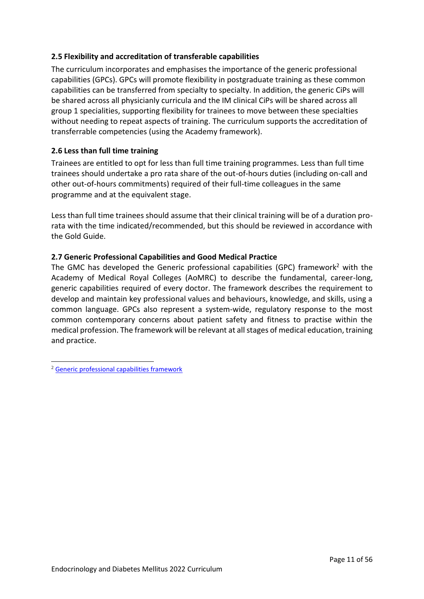# <span id="page-10-0"></span>**2.5 Flexibility and accreditation of transferable capabilities**

The curriculum incorporates and emphasises the importance of the generic professional capabilities (GPCs). GPCs will promote flexibility in postgraduate training as these common capabilities can be transferred from specialty to specialty. In addition, the generic CiPs will be shared across all physicianly curricula and the IM clinical CiPs will be shared across all group 1 specialities, supporting flexibility for trainees to move between these specialties without needing to repeat aspects of training. The curriculum supports the accreditation of transferrable competencies (using the Academy framework).

# <span id="page-10-1"></span>**2.6 Less than full time training**

Trainees are entitled to opt for less than full time training programmes. Less than full time trainees should undertake a pro rata share of the out-of-hours duties (including on-call and other out-of-hours commitments) required of their full-time colleagues in the same programme and at the equivalent stage.

Less than full time trainees should assume that their clinical training will be of a duration prorata with the time indicated/recommended, but this should be reviewed in accordance with the Gold Guide.

# <span id="page-10-2"></span>**2.7 Generic Professional Capabilities and Good Medical Practice**

The GMC has developed the Generic professional capabilities (GPC) framework<sup>2</sup> with the Academy of Medical Royal Colleges (AoMRC) to describe the fundamental, career-long, generic capabilities required of every doctor. The framework describes the requirement to develop and maintain key professional values and behaviours, knowledge, and skills, using a common language. GPCs also represent a system-wide, regulatory response to the most common contemporary concerns about patient safety and fitness to practise within the medical profession. The framework will be relevant at all stages of medical education, training and practice.

<sup>2</sup> [Generic professional capabilities framework](http://www.gmc-uk.org/education/postgraduate/GPC.asp)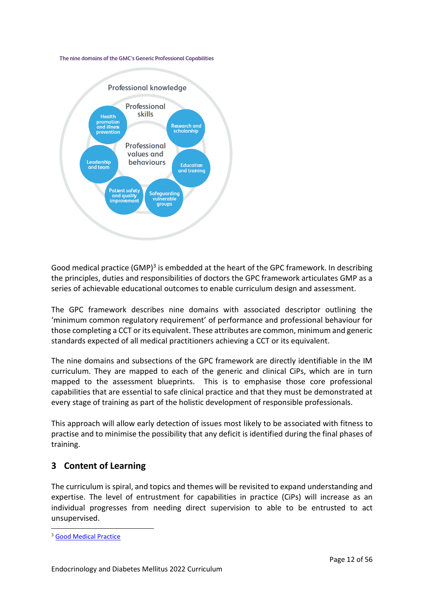#### The nine domains of the GMC's Generic Professional Capabilities



Good medical practice (GMP)<sup>3</sup> is embedded at the heart of the GPC framework. In describing the principles, duties and responsibilities of doctors the GPC framework articulates GMP as a series of achievable educational outcomes to enable curriculum design and assessment.

The GPC framework describes nine domains with associated descriptor outlining the 'minimum common regulatory requirement' of performance and professional behaviour for those completing a CCT or its equivalent. These attributes are common, minimum and generic standards expected of all medical practitioners achieving a CCT or its equivalent.

The nine domains and subsections of the GPC framework are directly identifiable in the IM curriculum. They are mapped to each of the generic and clinical CiPs, which are in turn mapped to the assessment blueprints. This is to emphasise those core professional capabilities that are essential to safe clinical practice and that they must be demonstrated at every stage of training as part of the holistic development of responsible professionals.

This approach will allow early detection of issues most likely to be associated with fitness to practise and to minimise the possibility that any deficit is identified during the final phases of training.

# <span id="page-11-0"></span>**3 Content of Learning**

The curriculum is spiral, and topics and themes will be revisited to expand understanding and expertise. The level of entrustment for capabilities in practice (CiPs) will increase as an individual progresses from needing direct supervision to able to be entrusted to act unsupervised.

<sup>3</sup> [Good Medical Practice](http://www.gmc-uk.org/guidance/good_medical_practice.asp)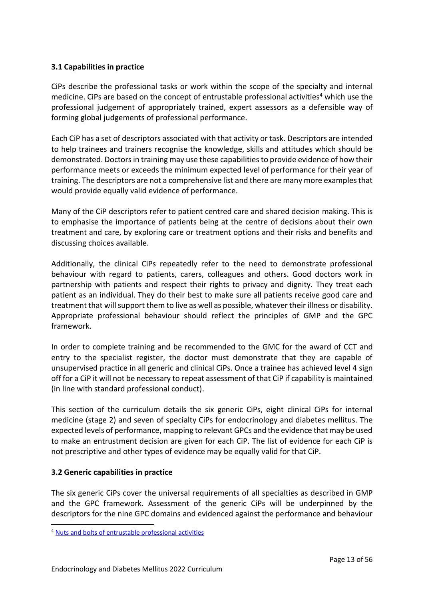# <span id="page-12-0"></span>**3.1 Capabilities in practice**

CiPs describe the professional tasks or work within the scope of the specialty and internal medicine. CiPs are based on the concept of entrustable professional activities<sup>4</sup> which use the professional judgement of appropriately trained, expert assessors as a defensible way of forming global judgements of professional performance.

Each CiP has a set of descriptors associated with that activity or task. Descriptors are intended to help trainees and trainers recognise the knowledge, skills and attitudes which should be demonstrated. Doctors in training may use these capabilities to provide evidence of how their performance meets or exceeds the minimum expected level of performance for their year of training. The descriptors are not a comprehensive list and there are many more examples that would provide equally valid evidence of performance.

Many of the CiP descriptors refer to patient centred care and shared decision making. This is to emphasise the importance of patients being at the centre of decisions about their own treatment and care, by exploring care or treatment options and their risks and benefits and discussing choices available.

Additionally, the clinical CiPs repeatedly refer to the need to demonstrate professional behaviour with regard to patients, carers, colleagues and others. Good doctors work in partnership with patients and respect their rights to privacy and dignity. They treat each patient as an individual. They do their best to make sure all patients receive good care and treatment that will support them to live as well as possible, whatever their illness or disability. Appropriate professional behaviour should reflect the principles of GMP and the GPC framework.

In order to complete training and be recommended to the GMC for the award of CCT and entry to the specialist register, the doctor must demonstrate that they are capable of unsupervised practice in all generic and clinical CiPs. Once a trainee has achieved level 4 sign off for a CiP it will not be necessary to repeat assessment of that CiP if capability is maintained (in line with standard professional conduct).

This section of the curriculum details the six generic CiPs, eight clinical CiPs for internal medicine (stage 2) and seven of specialty CiPs for endocrinology and diabetes mellitus. The expected levels of performance, mapping to relevant GPCs and the evidence that may be used to make an entrustment decision are given for each CiP. The list of evidence for each CiP is not prescriptive and other types of evidence may be equally valid for that CiP.

## <span id="page-12-1"></span>**3.2 Generic capabilities in practice**

The six generic CiPs cover the universal requirements of all specialties as described in GMP and the GPC framework. Assessment of the generic CiPs will be underpinned by the descriptors for the nine GPC domains and evidenced against the performance and behaviour

<sup>4</sup> [Nuts and bolts of entrustable professional activities](https://www.ncbi.nlm.nih.gov/pmc/articles/PMC3613304/)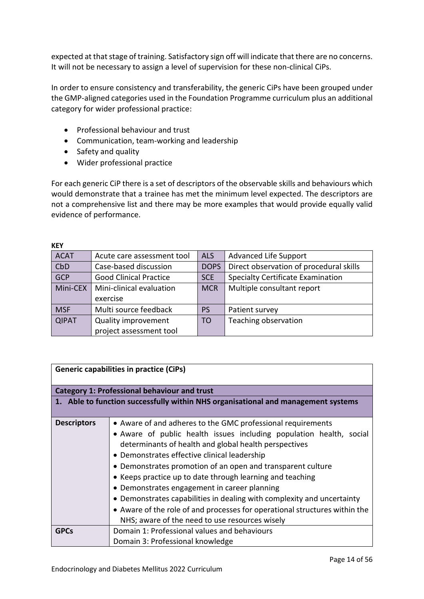expected at that stage of training. Satisfactory sign off will indicate that there are no concerns. It will not be necessary to assign a level of supervision for these non-clinical CiPs.

In order to ensure consistency and transferability, the generic CiPs have been grouped under the GMP-aligned categories used in the Foundation Programme curriculum plus an additional category for wider professional practice:

- Professional behaviour and trust
- Communication, team-working and leadership
- Safety and quality
- Wider professional practice

For each generic CiP there is a set of descriptors of the observable skills and behaviours which would demonstrate that a trainee has met the minimum level expected. The descriptors are not a comprehensive list and there may be more examples that would provide equally valid evidence of performance.

| NET          |                               |                |                                          |
|--------------|-------------------------------|----------------|------------------------------------------|
| <b>ACAT</b>  | Acute care assessment tool    | <b>ALS</b>     | <b>Advanced Life Support</b>             |
| CbD          | Case-based discussion         | <b>DOPS</b>    | Direct observation of procedural skills  |
| <b>GCP</b>   | <b>Good Clinical Practice</b> | <b>SCE</b>     | <b>Specialty Certificate Examination</b> |
| Mini-CEX     | Mini-clinical evaluation      | <b>MCR</b>     | Multiple consultant report               |
|              | exercise                      |                |                                          |
| <b>MSF</b>   | Multi source feedback         | <b>PS</b>      | Patient survey                           |
| <b>QIPAT</b> | <b>Quality improvement</b>    | T <sub>O</sub> | Teaching observation                     |
|              | project assessment tool       |                |                                          |

| <b>Generic capabilities in practice (CiPs)</b>                                    |                                                                                                                                                                                                                                                                                                                                                                                                                                                                                                                                                                                                                                   |  |
|-----------------------------------------------------------------------------------|-----------------------------------------------------------------------------------------------------------------------------------------------------------------------------------------------------------------------------------------------------------------------------------------------------------------------------------------------------------------------------------------------------------------------------------------------------------------------------------------------------------------------------------------------------------------------------------------------------------------------------------|--|
|                                                                                   | <b>Category 1: Professional behaviour and trust</b>                                                                                                                                                                                                                                                                                                                                                                                                                                                                                                                                                                               |  |
| 1. Able to function successfully within NHS organisational and management systems |                                                                                                                                                                                                                                                                                                                                                                                                                                                                                                                                                                                                                                   |  |
| <b>Descriptors</b>                                                                | • Aware of and adheres to the GMC professional requirements<br>• Aware of public health issues including population health, social<br>determinants of health and global health perspectives<br>• Demonstrates effective clinical leadership<br>• Demonstrates promotion of an open and transparent culture<br>• Keeps practice up to date through learning and teaching<br>• Demonstrates engagement in career planning<br>• Demonstrates capabilities in dealing with complexity and uncertainty<br>• Aware of the role of and processes for operational structures within the<br>NHS; aware of the need to use resources wisely |  |
| <b>GPCs</b>                                                                       | Domain 1: Professional values and behaviours<br>Domain 3: Professional knowledge                                                                                                                                                                                                                                                                                                                                                                                                                                                                                                                                                  |  |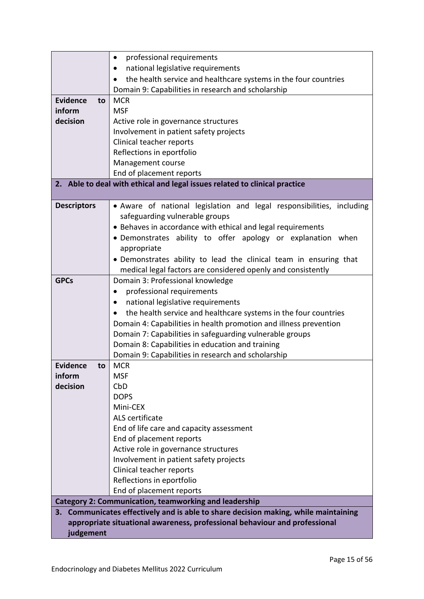|                       | professional requirements<br>٠                                                      |
|-----------------------|-------------------------------------------------------------------------------------|
|                       | national legislative requirements<br>٠                                              |
|                       | the health service and healthcare systems in the four countries<br>$\bullet$        |
|                       | Domain 9: Capabilities in research and scholarship                                  |
| <b>Evidence</b><br>to | <b>MCR</b>                                                                          |
| inform                | <b>MSF</b>                                                                          |
| decision              | Active role in governance structures                                                |
|                       | Involvement in patient safety projects                                              |
|                       | Clinical teacher reports                                                            |
|                       | Reflections in eportfolio                                                           |
|                       | Management course                                                                   |
|                       | End of placement reports                                                            |
|                       | 2. Able to deal with ethical and legal issues related to clinical practice          |
|                       |                                                                                     |
| <b>Descriptors</b>    | • Aware of national legislation and legal responsibilities, including               |
|                       | safeguarding vulnerable groups                                                      |
|                       | • Behaves in accordance with ethical and legal requirements                         |
|                       | • Demonstrates ability to offer apology or explanation when                         |
|                       | appropriate                                                                         |
|                       | • Demonstrates ability to lead the clinical team in ensuring that                   |
|                       | medical legal factors are considered openly and consistently                        |
| <b>GPCs</b>           | Domain 3: Professional knowledge                                                    |
|                       | professional requirements<br>$\bullet$                                              |
|                       | national legislative requirements                                                   |
|                       | the health service and healthcare systems in the four countries                     |
|                       | Domain 4: Capabilities in health promotion and illness prevention                   |
|                       | Domain 7: Capabilities in safeguarding vulnerable groups                            |
|                       | Domain 8: Capabilities in education and training                                    |
|                       | Domain 9: Capabilities in research and scholarship                                  |
| <b>Evidence</b><br>to | <b>MCR</b>                                                                          |
| inform                | <b>MSF</b>                                                                          |
| decision              | CbD                                                                                 |
|                       | <b>DOPS</b>                                                                         |
|                       | Mini-CEX                                                                            |
|                       | ALS certificate                                                                     |
|                       | End of life care and capacity assessment                                            |
|                       | End of placement reports                                                            |
|                       | Active role in governance structures                                                |
|                       | Involvement in patient safety projects                                              |
|                       | Clinical teacher reports                                                            |
|                       | Reflections in eportfolio                                                           |
|                       | End of placement reports                                                            |
|                       | <b>Category 2: Communication, teamworking and leadership</b>                        |
|                       | 3. Communicates effectively and is able to share decision making, while maintaining |
|                       | appropriate situational awareness, professional behaviour and professional          |
| judgement             |                                                                                     |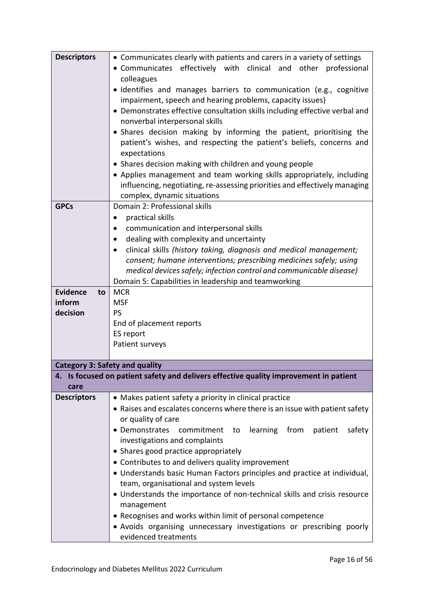| <b>Descriptors</b>                    | • Communicates clearly with patients and carers in a variety of settings              |
|---------------------------------------|---------------------------------------------------------------------------------------|
|                                       | • Communicates effectively with clinical and<br>other professional                    |
|                                       | colleagues                                                                            |
|                                       | · Identifies and manages barriers to communication (e.g., cognitive                   |
|                                       | impairment, speech and hearing problems, capacity issues)                             |
|                                       | • Demonstrates effective consultation skills including effective verbal and           |
|                                       | nonverbal interpersonal skills                                                        |
|                                       | • Shares decision making by informing the patient, prioritising the                   |
|                                       | patient's wishes, and respecting the patient's beliefs, concerns and                  |
|                                       | expectations                                                                          |
|                                       | • Shares decision making with children and young people                               |
|                                       | • Applies management and team working skills appropriately, including                 |
|                                       | influencing, negotiating, re-assessing priorities and effectively managing            |
|                                       | complex, dynamic situations                                                           |
| <b>GPCs</b>                           | Domain 2: Professional skills                                                         |
|                                       | practical skills                                                                      |
|                                       | communication and interpersonal skills                                                |
|                                       | dealing with complexity and uncertainty                                               |
|                                       | clinical skills (history taking, diagnosis and medical management;                    |
|                                       | consent; humane interventions; prescribing medicines safely; using                    |
|                                       | medical devices safely; infection control and communicable disease)                   |
|                                       | Domain 5: Capabilities in leadership and teamworking                                  |
| <b>Evidence</b><br>to                 | <b>MCR</b>                                                                            |
| inform                                | <b>MSF</b>                                                                            |
| decision                              | <b>PS</b>                                                                             |
|                                       | End of placement reports                                                              |
|                                       | ES report                                                                             |
|                                       | Patient surveys                                                                       |
|                                       |                                                                                       |
| <b>Category 3: Safety and quality</b> |                                                                                       |
|                                       | 4. Is focused on patient safety and delivers effective quality improvement in patient |
| care                                  |                                                                                       |
| <b>Descriptors</b>                    | • Makes patient safety a priority in clinical practice                                |
|                                       | • Raises and escalates concerns where there is an issue with patient safety           |
|                                       | or quality of care                                                                    |
|                                       | • Demonstrates<br>learning<br>from<br>safety<br>commitment<br>to<br>patient           |
|                                       | investigations and complaints                                                         |
|                                       | • Shares good practice appropriately                                                  |
|                                       | • Contributes to and delivers quality improvement                                     |
|                                       | • Understands basic Human Factors principles and practice at individual,              |
|                                       | team, organisational and system levels                                                |
|                                       | • Understands the importance of non-technical skills and crisis resource              |
|                                       | management                                                                            |
|                                       | • Recognises and works within limit of personal competence                            |
|                                       | • Avoids organising unnecessary investigations or prescribing poorly                  |
|                                       | evidenced treatments                                                                  |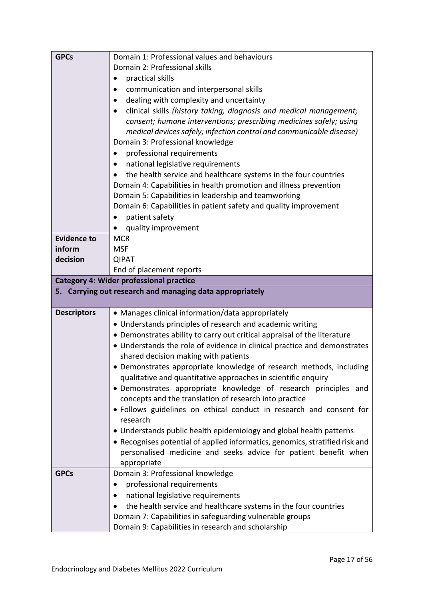|                    | Domain 1: Professional values and behaviours                                                                              |
|--------------------|---------------------------------------------------------------------------------------------------------------------------|
|                    | Domain 2: Professional skills                                                                                             |
|                    | practical skills                                                                                                          |
|                    | communication and interpersonal skills                                                                                    |
|                    | dealing with complexity and uncertainty                                                                                   |
|                    | clinical skills (history taking, diagnosis and medical management;<br>$\bullet$                                           |
|                    | consent; humane interventions; prescribing medicines safely; using                                                        |
|                    | medical devices safely; infection control and communicable disease)                                                       |
|                    | Domain 3: Professional knowledge                                                                                          |
|                    | professional requirements                                                                                                 |
|                    | national legislative requirements                                                                                         |
|                    | the health service and healthcare systems in the four countries                                                           |
|                    | Domain 4: Capabilities in health promotion and illness prevention                                                         |
|                    | Domain 5: Capabilities in leadership and teamworking                                                                      |
|                    | Domain 6: Capabilities in patient safety and quality improvement                                                          |
|                    | patient safety                                                                                                            |
|                    | quality improvement                                                                                                       |
| <b>Evidence to</b> | <b>MCR</b>                                                                                                                |
| inform             | <b>MSF</b>                                                                                                                |
| decision           | <b>QIPAT</b>                                                                                                              |
|                    | End of placement reports                                                                                                  |
|                    | <b>Category 4: Wider professional practice</b>                                                                            |
|                    | 5. Carrying out research and managing data appropriately                                                                  |
| <b>Descriptors</b> | • Manages clinical information/data appropriately                                                                         |
|                    | • Understands principles of research and academic writing                                                                 |
|                    |                                                                                                                           |
|                    |                                                                                                                           |
|                    | • Demonstrates ability to carry out critical appraisal of the literature                                                  |
|                    | • Understands the role of evidence in clinical practice and demonstrates                                                  |
|                    | shared decision making with patients                                                                                      |
|                    | • Demonstrates appropriate knowledge of research methods, including                                                       |
|                    | qualitative and quantitative approaches in scientific enquiry                                                             |
|                    | · Demonstrates appropriate knowledge of research principles and<br>concepts and the translation of research into practice |
|                    |                                                                                                                           |
|                    | • Follows guidelines on ethical conduct in research and consent for<br>research                                           |
|                    | • Understands public health epidemiology and global health patterns                                                       |
|                    | • Recognises potential of applied informatics, genomics, stratified risk and                                              |
|                    | personalised medicine and seeks advice for patient benefit when                                                           |
|                    | appropriate                                                                                                               |
| <b>GPCs</b>        | Domain 3: Professional knowledge                                                                                          |
|                    | professional requirements                                                                                                 |
|                    | national legislative requirements                                                                                         |
|                    | the health service and healthcare systems in the four countries                                                           |
|                    | Domain 7: Capabilities in safeguarding vulnerable groups                                                                  |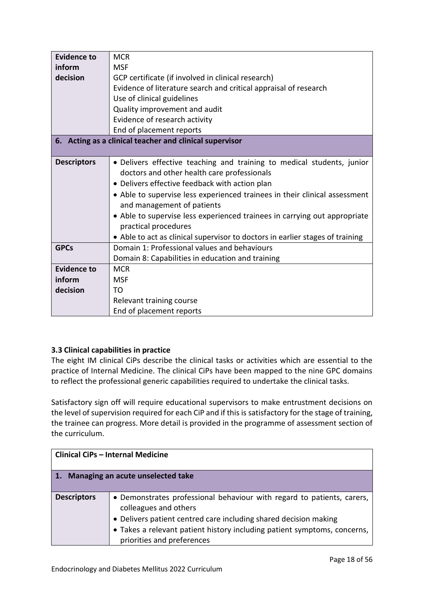| <b>Evidence to</b> | <b>MCR</b>                                                                    |
|--------------------|-------------------------------------------------------------------------------|
| inform             | <b>MSF</b>                                                                    |
| decision           | GCP certificate (if involved in clinical research)                            |
|                    | Evidence of literature search and critical appraisal of research              |
|                    | Use of clinical guidelines                                                    |
|                    | Quality improvement and audit                                                 |
|                    | Evidence of research activity                                                 |
|                    | End of placement reports                                                      |
|                    | 6. Acting as a clinical teacher and clinical supervisor                       |
|                    |                                                                               |
| <b>Descriptors</b> | • Delivers effective teaching and training to medical students, junior        |
|                    | doctors and other health care professionals                                   |
|                    | • Delivers effective feedback with action plan                                |
|                    | • Able to supervise less experienced trainees in their clinical assessment    |
|                    | and management of patients                                                    |
|                    | • Able to supervise less experienced trainees in carrying out appropriate     |
|                    | practical procedures                                                          |
|                    | • Able to act as clinical supervisor to doctors in earlier stages of training |
| <b>GPCs</b>        | Domain 1: Professional values and behaviours                                  |
|                    | Domain 8: Capabilities in education and training                              |
| <b>Evidence to</b> | <b>MCR</b>                                                                    |
| inform             | <b>MSF</b>                                                                    |
| decision           | T <sub>O</sub>                                                                |
|                    | Relevant training course                                                      |
|                    | End of placement reports                                                      |

# <span id="page-17-0"></span>**3.3 Clinical capabilities in practice**

The eight IM clinical CiPs describe the clinical tasks or activities which are essential to the practice of Internal Medicine. The clinical CiPs have been mapped to the nine GPC domains to reflect the professional generic capabilities required to undertake the clinical tasks.

Satisfactory sign off will require educational supervisors to make entrustment decisions on the level of supervision required for each CiP and if this is satisfactory for the stage of training, the trainee can progress. More detail is provided in the programme of assessment section of the curriculum.

|                    | <b>Clinical CiPs - Internal Medicine</b>                                                                                                                                                                                                                                      |
|--------------------|-------------------------------------------------------------------------------------------------------------------------------------------------------------------------------------------------------------------------------------------------------------------------------|
|                    | 1. Managing an acute unselected take                                                                                                                                                                                                                                          |
| <b>Descriptors</b> | • Demonstrates professional behaviour with regard to patients, carers,<br>colleagues and others<br>• Delivers patient centred care including shared decision making<br>• Takes a relevant patient history including patient symptoms, concerns,<br>priorities and preferences |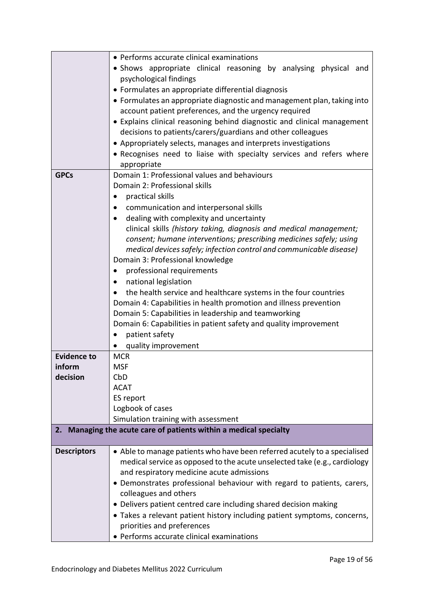|                    | • Performs accurate clinical examinations                                 |
|--------------------|---------------------------------------------------------------------------|
|                    | • Shows appropriate clinical reasoning by analysing physical and          |
|                    | psychological findings                                                    |
|                    | • Formulates an appropriate differential diagnosis                        |
|                    | • Formulates an appropriate diagnostic and management plan, taking into   |
|                    | account patient preferences, and the urgency required                     |
|                    | • Explains clinical reasoning behind diagnostic and clinical management   |
|                    | decisions to patients/carers/guardians and other colleagues               |
|                    | • Appropriately selects, manages and interprets investigations            |
|                    | • Recognises need to liaise with specialty services and refers where      |
|                    | appropriate                                                               |
| <b>GPCs</b>        | Domain 1: Professional values and behaviours                              |
|                    | Domain 2: Professional skills                                             |
|                    | practical skills                                                          |
|                    | communication and interpersonal skills                                    |
|                    | dealing with complexity and uncertainty                                   |
|                    | clinical skills (history taking, diagnosis and medical management;        |
|                    | consent; humane interventions; prescribing medicines safely; using        |
|                    | medical devices safely; infection control and communicable disease)       |
|                    | Domain 3: Professional knowledge                                          |
|                    | professional requirements                                                 |
|                    | national legislation<br>$\bullet$                                         |
|                    | the health service and healthcare systems in the four countries           |
|                    | Domain 4: Capabilities in health promotion and illness prevention         |
|                    | Domain 5: Capabilities in leadership and teamworking                      |
|                    | Domain 6: Capabilities in patient safety and quality improvement          |
|                    | patient safety                                                            |
|                    | quality improvement                                                       |
| <b>Evidence to</b> | <b>MCR</b>                                                                |
| inform             | <b>MSF</b>                                                                |
| decision           | CbD                                                                       |
|                    | <b>ACAT</b>                                                               |
|                    | ES report                                                                 |
|                    | Logbook of cases                                                          |
|                    | Simulation training with assessment                                       |
| 2.                 | Managing the acute care of patients within a medical specialty            |
| <b>Descriptors</b> | • Able to manage patients who have been referred acutely to a specialised |
|                    | medical service as opposed to the acute unselected take (e.g., cardiology |
|                    | and respiratory medicine acute admissions                                 |
|                    | • Demonstrates professional behaviour with regard to patients, carers,    |
|                    | colleagues and others                                                     |
|                    | • Delivers patient centred care including shared decision making          |
|                    | • Takes a relevant patient history including patient symptoms, concerns,  |
|                    | priorities and preferences                                                |
|                    | • Performs accurate clinical examinations                                 |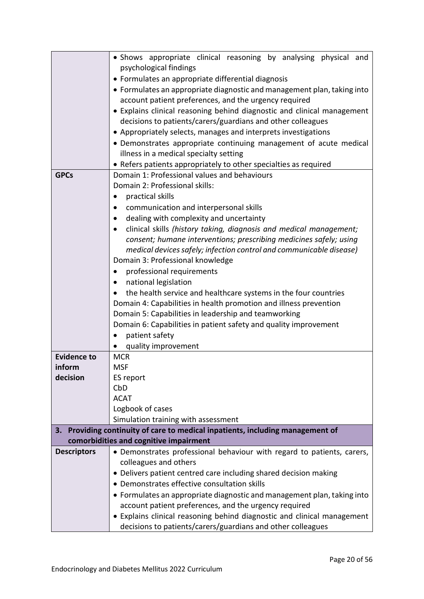|                    | • Shows appropriate clinical reasoning by analysing physical and                                                                          |
|--------------------|-------------------------------------------------------------------------------------------------------------------------------------------|
|                    | psychological findings                                                                                                                    |
|                    | • Formulates an appropriate differential diagnosis                                                                                        |
|                    | • Formulates an appropriate diagnostic and management plan, taking into                                                                   |
|                    | account patient preferences, and the urgency required                                                                                     |
|                    | • Explains clinical reasoning behind diagnostic and clinical management                                                                   |
|                    | decisions to patients/carers/guardians and other colleagues                                                                               |
|                    | • Appropriately selects, manages and interprets investigations                                                                            |
|                    | • Demonstrates appropriate continuing management of acute medical                                                                         |
|                    | illness in a medical specialty setting                                                                                                    |
|                    | • Refers patients appropriately to other specialties as required                                                                          |
| <b>GPCs</b>        | Domain 1: Professional values and behaviours                                                                                              |
|                    | Domain 2: Professional skills:                                                                                                            |
|                    | practical skills                                                                                                                          |
|                    | communication and interpersonal skills                                                                                                    |
|                    | dealing with complexity and uncertainty                                                                                                   |
|                    | clinical skills (history taking, diagnosis and medical management;                                                                        |
|                    | consent; humane interventions; prescribing medicines safely; using<br>medical devices safely; infection control and communicable disease) |
|                    | Domain 3: Professional knowledge                                                                                                          |
|                    | professional requirements<br>٠                                                                                                            |
|                    | national legislation                                                                                                                      |
|                    | the health service and healthcare systems in the four countries                                                                           |
|                    | Domain 4: Capabilities in health promotion and illness prevention                                                                         |
|                    | Domain 5: Capabilities in leadership and teamworking                                                                                      |
|                    | Domain 6: Capabilities in patient safety and quality improvement                                                                          |
|                    | patient safety<br>$\bullet$                                                                                                               |
|                    | quality improvement                                                                                                                       |
| <b>Evidence to</b> | <b>MCR</b>                                                                                                                                |
| inform             | <b>MSF</b>                                                                                                                                |
| decision           | ES report                                                                                                                                 |
|                    | CbD                                                                                                                                       |
|                    | <b>ACAT</b>                                                                                                                               |
|                    | Logbook of cases                                                                                                                          |
|                    | Simulation training with assessment                                                                                                       |
|                    | 3. Providing continuity of care to medical inpatients, including management of<br>comorbidities and cognitive impairment                  |
| <b>Descriptors</b> | • Demonstrates professional behaviour with regard to patients, carers,                                                                    |
|                    | colleagues and others                                                                                                                     |
|                    | • Delivers patient centred care including shared decision making                                                                          |
|                    | • Demonstrates effective consultation skills                                                                                              |
|                    | • Formulates an appropriate diagnostic and management plan, taking into                                                                   |
|                    | account patient preferences, and the urgency required                                                                                     |
|                    | • Explains clinical reasoning behind diagnostic and clinical management                                                                   |
|                    | decisions to patients/carers/guardians and other colleagues                                                                               |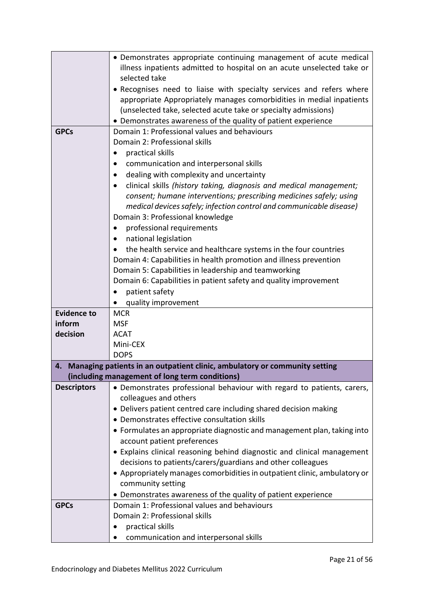|                    | • Demonstrates appropriate continuing management of acute medical                                       |
|--------------------|---------------------------------------------------------------------------------------------------------|
|                    | illness inpatients admitted to hospital on an acute unselected take or                                  |
|                    | selected take                                                                                           |
|                    | • Recognises need to liaise with specialty services and refers where                                    |
|                    | appropriate Appropriately manages comorbidities in medial inpatients                                    |
|                    | (unselected take, selected acute take or specialty admissions)                                          |
|                    | • Demonstrates awareness of the quality of patient experience                                           |
| <b>GPCs</b>        | Domain 1: Professional values and behaviours                                                            |
|                    | Domain 2: Professional skills                                                                           |
|                    | practical skills                                                                                        |
|                    | communication and interpersonal skills                                                                  |
|                    | dealing with complexity and uncertainty                                                                 |
|                    | clinical skills (history taking, diagnosis and medical management;                                      |
|                    | consent; humane interventions; prescribing medicines safely; using                                      |
|                    | medical devices safely; infection control and communicable disease)<br>Domain 3: Professional knowledge |
|                    | professional requirements<br>$\bullet$                                                                  |
|                    | national legislation                                                                                    |
|                    | the health service and healthcare systems in the four countries                                         |
|                    | Domain 4: Capabilities in health promotion and illness prevention                                       |
|                    | Domain 5: Capabilities in leadership and teamworking                                                    |
|                    | Domain 6: Capabilities in patient safety and quality improvement                                        |
|                    | patient safety                                                                                          |
|                    | quality improvement                                                                                     |
| <b>Evidence to</b> | <b>MCR</b>                                                                                              |
| inform             | <b>MSF</b>                                                                                              |
| decision           | <b>ACAT</b>                                                                                             |
|                    | Mini-CEX                                                                                                |
|                    | <b>DOPS</b>                                                                                             |
| 4.                 | Managing patients in an outpatient clinic, ambulatory or community setting                              |
|                    | (including management of long term conditions)                                                          |
| <b>Descriptors</b> | • Demonstrates professional behaviour with regard to patients, carers,                                  |
|                    | colleagues and others                                                                                   |
|                    | • Delivers patient centred care including shared decision making                                        |
|                    | • Demonstrates effective consultation skills                                                            |
|                    | • Formulates an appropriate diagnostic and management plan, taking into                                 |
|                    | account patient preferences                                                                             |
|                    | • Explains clinical reasoning behind diagnostic and clinical management                                 |
|                    | decisions to patients/carers/guardians and other colleagues                                             |
|                    | • Appropriately manages comorbidities in outpatient clinic, ambulatory or                               |
|                    | community setting                                                                                       |
|                    | • Demonstrates awareness of the quality of patient experience                                           |
| <b>GPCs</b>        | Domain 1: Professional values and behaviours                                                            |
|                    | Domain 2: Professional skills                                                                           |
|                    | practical skills                                                                                        |
|                    | communication and interpersonal skills                                                                  |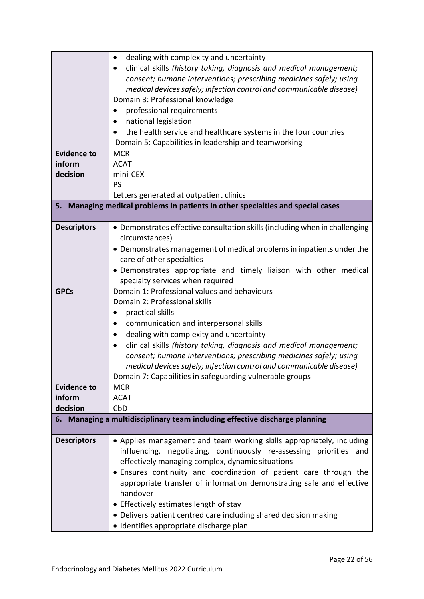|                    | dealing with complexity and uncertainty<br>$\bullet$<br>clinical skills (history taking, diagnosis and medical management; |
|--------------------|----------------------------------------------------------------------------------------------------------------------------|
|                    | consent; humane interventions; prescribing medicines safely; using                                                         |
|                    | medical devices safely; infection control and communicable disease)<br>Domain 3: Professional knowledge                    |
|                    |                                                                                                                            |
|                    | professional requirements<br>national legislation                                                                          |
|                    | the health service and healthcare systems in the four countries                                                            |
|                    | Domain 5: Capabilities in leadership and teamworking                                                                       |
| <b>Evidence to</b> | <b>MCR</b>                                                                                                                 |
| inform             | <b>ACAT</b>                                                                                                                |
| decision           | mini-CEX                                                                                                                   |
|                    | PS                                                                                                                         |
|                    | Letters generated at outpatient clinics                                                                                    |
| 5.                 | Managing medical problems in patients in other specialties and special cases                                               |
|                    |                                                                                                                            |
| <b>Descriptors</b> | • Demonstrates effective consultation skills (including when in challenging<br>circumstances)                              |
|                    | • Demonstrates management of medical problems in inpatients under the                                                      |
|                    | care of other specialties                                                                                                  |
|                    | • Demonstrates appropriate and timely liaison with other medical                                                           |
|                    | specialty services when required                                                                                           |
| <b>GPCs</b>        | Domain 1: Professional values and behaviours                                                                               |
|                    | Domain 2: Professional skills                                                                                              |
|                    | practical skills                                                                                                           |
|                    | communication and interpersonal skills<br>٠                                                                                |
|                    | dealing with complexity and uncertainty<br>$\bullet$                                                                       |
|                    | clinical skills (history taking, diagnosis and medical management;<br>٠                                                    |
|                    | consent; humane interventions; prescribing medicines safely; using                                                         |
|                    | medical devices safely; infection control and communicable disease)                                                        |
|                    | Domain 7: Capabilities in safeguarding vulnerable groups                                                                   |
| <b>Evidence to</b> | <b>MCR</b>                                                                                                                 |
| inform             | <b>ACAT</b>                                                                                                                |
| decision           | CbD<br>6. Managing a multidisciplinary team including effective discharge planning                                         |
|                    |                                                                                                                            |
| <b>Descriptors</b> | • Applies management and team working skills appropriately, including                                                      |
|                    | influencing, negotiating, continuously re-assessing priorities and                                                         |
|                    | effectively managing complex, dynamic situations                                                                           |
|                    | • Ensures continuity and coordination of patient care through the                                                          |
|                    | appropriate transfer of information demonstrating safe and effective                                                       |
|                    | handover                                                                                                                   |
|                    | • Effectively estimates length of stay                                                                                     |
|                    | • Delivers patient centred care including shared decision making                                                           |
|                    | · Identifies appropriate discharge plan                                                                                    |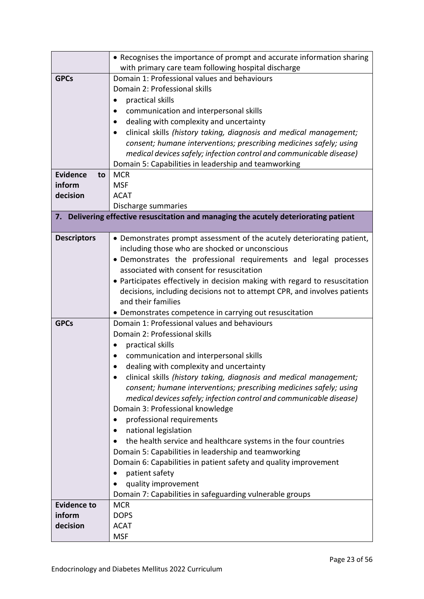|                       | • Recognises the importance of prompt and accurate information sharing               |
|-----------------------|--------------------------------------------------------------------------------------|
|                       | with primary care team following hospital discharge                                  |
| <b>GPCs</b>           | Domain 1: Professional values and behaviours                                         |
|                       | Domain 2: Professional skills                                                        |
|                       | practical skills                                                                     |
|                       | communication and interpersonal skills                                               |
|                       | dealing with complexity and uncertainty<br>٠                                         |
|                       | clinical skills (history taking, diagnosis and medical management;                   |
|                       | consent; humane interventions; prescribing medicines safely; using                   |
|                       | medical devices safely; infection control and communicable disease)                  |
|                       | Domain 5: Capabilities in leadership and teamworking                                 |
| <b>Evidence</b><br>to | <b>MCR</b>                                                                           |
| inform                | <b>MSF</b>                                                                           |
| decision              | <b>ACAT</b>                                                                          |
|                       | Discharge summaries                                                                  |
|                       | 7. Delivering effective resuscitation and managing the acutely deteriorating patient |
|                       |                                                                                      |
| <b>Descriptors</b>    | • Demonstrates prompt assessment of the acutely deteriorating patient,               |
|                       | including those who are shocked or unconscious                                       |
|                       | • Demonstrates the professional requirements and legal processes                     |
|                       | associated with consent for resuscitation                                            |
|                       | • Participates effectively in decision making with regard to resuscitation           |
|                       | decisions, including decisions not to attempt CPR, and involves patients             |
|                       | and their families                                                                   |
|                       | • Demonstrates competence in carrying out resuscitation                              |
| <b>GPCs</b>           | Domain 1: Professional values and behaviours                                         |
|                       | Domain 2: Professional skills                                                        |
|                       | practical skills<br>٠                                                                |
|                       | communication and interpersonal skills                                               |
|                       | dealing with complexity and uncertainty                                              |
|                       | clinical skills (history taking, diagnosis and medical management;                   |
|                       | consent; humane interventions; prescribing medicines safely; using                   |
|                       | medical devices safely; infection control and communicable disease)                  |
|                       | Domain 3: Professional knowledge                                                     |
|                       | professional requirements                                                            |
|                       | national legislation                                                                 |
|                       | the health service and healthcare systems in the four countries                      |
|                       | Domain 5: Capabilities in leadership and teamworking                                 |
|                       | Domain 6: Capabilities in patient safety and quality improvement                     |
|                       | patient safety                                                                       |
|                       | quality improvement                                                                  |
|                       | Domain 7: Capabilities in safeguarding vulnerable groups                             |
| <b>Evidence to</b>    | <b>MCR</b>                                                                           |
| inform                | <b>DOPS</b>                                                                          |
| decision              | <b>ACAT</b>                                                                          |
|                       | <b>MSF</b>                                                                           |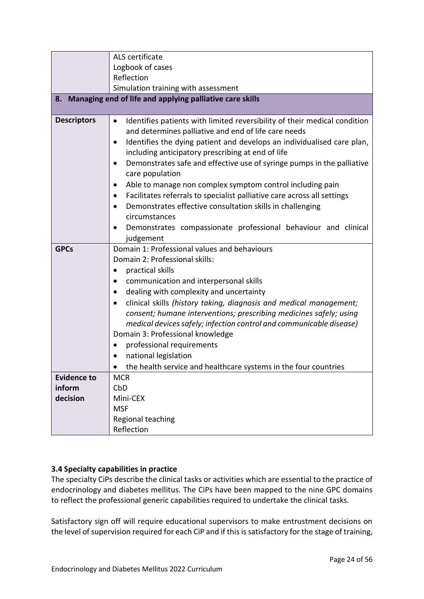|                    | ALS certificate                                                                                                                           |  |
|--------------------|-------------------------------------------------------------------------------------------------------------------------------------------|--|
|                    | Logbook of cases                                                                                                                          |  |
|                    | Reflection                                                                                                                                |  |
|                    | Simulation training with assessment                                                                                                       |  |
|                    | 8. Managing end of life and applying palliative care skills                                                                               |  |
|                    |                                                                                                                                           |  |
| <b>Descriptors</b> | Identifies patients with limited reversibility of their medical condition<br>$\bullet$                                                    |  |
|                    | and determines palliative and end of life care needs                                                                                      |  |
|                    | Identifies the dying patient and develops an individualised care plan,<br>$\bullet$                                                       |  |
|                    | including anticipatory prescribing at end of life                                                                                         |  |
|                    | Demonstrates safe and effective use of syringe pumps in the palliative<br>$\bullet$                                                       |  |
|                    | care population                                                                                                                           |  |
|                    | Able to manage non complex symptom control including pain                                                                                 |  |
|                    | Facilitates referrals to specialist palliative care across all settings<br>٠                                                              |  |
|                    | Demonstrates effective consultation skills in challenging                                                                                 |  |
|                    | circumstances                                                                                                                             |  |
|                    | Demonstrates compassionate professional behaviour and clinical                                                                            |  |
|                    | judgement                                                                                                                                 |  |
| <b>GPCs</b>        | Domain 1: Professional values and behaviours<br>Domain 2: Professional skills:                                                            |  |
|                    |                                                                                                                                           |  |
|                    | practical skills                                                                                                                          |  |
|                    | communication and interpersonal skills                                                                                                    |  |
|                    | dealing with complexity and uncertainty                                                                                                   |  |
|                    | clinical skills (history taking, diagnosis and medical management;                                                                        |  |
|                    | consent; humane interventions; prescribing medicines safely; using<br>medical devices safely; infection control and communicable disease) |  |
|                    | Domain 3: Professional knowledge                                                                                                          |  |
|                    | professional requirements                                                                                                                 |  |
|                    | national legislation                                                                                                                      |  |
|                    | the health service and healthcare systems in the four countries                                                                           |  |
| <b>Evidence to</b> | <b>MCR</b>                                                                                                                                |  |
| inform             | CbD                                                                                                                                       |  |
| decision           | Mini-CEX                                                                                                                                  |  |
|                    | <b>MSF</b>                                                                                                                                |  |
|                    | Regional teaching                                                                                                                         |  |
|                    | Reflection                                                                                                                                |  |

# <span id="page-23-0"></span>**3.4 Specialty capabilities in practice**

The specialty CiPs describe the clinical tasks or activities which are essential to the practice of endocrinology and diabetes mellitus. The CiPs have been mapped to the nine GPC domains to reflect the professional generic capabilities required to undertake the clinical tasks.

Satisfactory sign off will require educational supervisors to make entrustment decisions on the level of supervision required for each CiP and if this is satisfactory for the stage of training,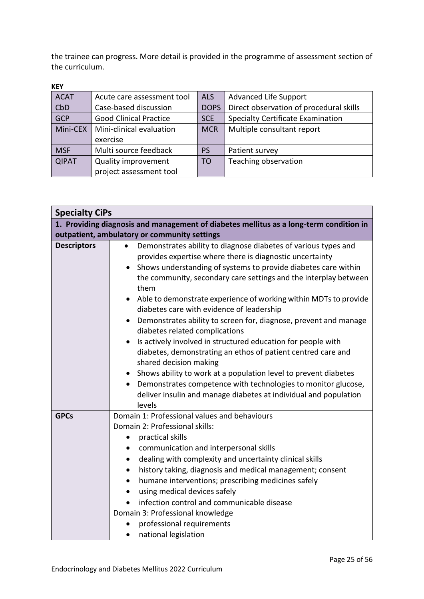the trainee can progress. More detail is provided in the programme of assessment section of the curriculum.

| <b>ACAT</b>                                               | Acute care assessment tool | <b>ALS</b>                               | <b>Advanced Life Support</b>            |
|-----------------------------------------------------------|----------------------------|------------------------------------------|-----------------------------------------|
| CbD                                                       | Case-based discussion      |                                          | Direct observation of procedural skills |
| <b>GCP</b><br><b>Good Clinical Practice</b><br><b>SCE</b> |                            | <b>Specialty Certificate Examination</b> |                                         |
| Mini-CEX                                                  | Mini-clinical evaluation   | <b>MCR</b>                               | Multiple consultant report              |
|                                                           | exercise                   |                                          |                                         |
| <b>MSF</b>                                                | Multi source feedback      | PS                                       | Patient survey                          |
| <b>QIPAT</b>                                              | <b>Quality improvement</b> | T <sub>O</sub>                           | Teaching observation                    |
|                                                           | project assessment tool    |                                          |                                         |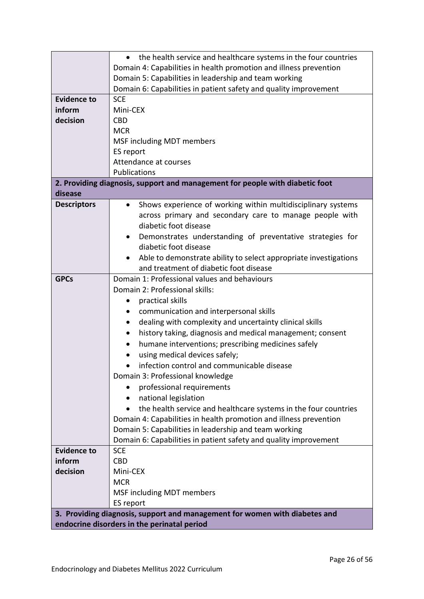|                                                                            | the health service and healthcare systems in the four countries<br>$\bullet$ |  |  |
|----------------------------------------------------------------------------|------------------------------------------------------------------------------|--|--|
|                                                                            | Domain 4: Capabilities in health promotion and illness prevention            |  |  |
|                                                                            | Domain 5: Capabilities in leadership and team working                        |  |  |
|                                                                            | Domain 6: Capabilities in patient safety and quality improvement             |  |  |
| <b>Evidence to</b>                                                         | <b>SCE</b>                                                                   |  |  |
| inform                                                                     | Mini-CEX                                                                     |  |  |
| decision                                                                   | <b>CBD</b>                                                                   |  |  |
|                                                                            | <b>MCR</b>                                                                   |  |  |
|                                                                            | MSF including MDT members                                                    |  |  |
|                                                                            | ES report                                                                    |  |  |
|                                                                            | Attendance at courses                                                        |  |  |
|                                                                            | Publications                                                                 |  |  |
|                                                                            | 2. Providing diagnosis, support and management for people with diabetic foot |  |  |
| disease                                                                    |                                                                              |  |  |
| <b>Descriptors</b>                                                         | Shows experience of working within multidisciplinary systems                 |  |  |
|                                                                            | across primary and secondary care to manage people with                      |  |  |
|                                                                            | diabetic foot disease                                                        |  |  |
|                                                                            | Demonstrates understanding of preventative strategies for<br>٠               |  |  |
|                                                                            | diabetic foot disease                                                        |  |  |
|                                                                            | Able to demonstrate ability to select appropriate investigations             |  |  |
|                                                                            | and treatment of diabetic foot disease                                       |  |  |
| <b>GPCs</b>                                                                | Domain 1: Professional values and behaviours                                 |  |  |
|                                                                            | Domain 2: Professional skills:                                               |  |  |
|                                                                            | practical skills<br>٠                                                        |  |  |
|                                                                            | communication and interpersonal skills                                       |  |  |
|                                                                            | dealing with complexity and uncertainty clinical skills<br>٠                 |  |  |
|                                                                            | history taking, diagnosis and medical management; consent<br>٠               |  |  |
|                                                                            | humane interventions; prescribing medicines safely<br>٠                      |  |  |
|                                                                            | using medical devices safely;                                                |  |  |
|                                                                            | infection control and communicable disease                                   |  |  |
|                                                                            | Domain 3: Professional knowledge                                             |  |  |
|                                                                            | professional requirements                                                    |  |  |
|                                                                            | national legislation                                                         |  |  |
|                                                                            | the health service and healthcare systems in the four countries              |  |  |
|                                                                            | Domain 4: Capabilities in health promotion and illness prevention            |  |  |
|                                                                            | Domain 5: Capabilities in leadership and team working                        |  |  |
|                                                                            | Domain 6: Capabilities in patient safety and quality improvement             |  |  |
| <b>Evidence to</b>                                                         | <b>SCE</b>                                                                   |  |  |
| inform                                                                     | <b>CBD</b>                                                                   |  |  |
| decision                                                                   | Mini-CEX                                                                     |  |  |
|                                                                            | <b>MCR</b>                                                                   |  |  |
|                                                                            | MSF including MDT members                                                    |  |  |
|                                                                            | ES report                                                                    |  |  |
| 3. Providing diagnosis, support and management for women with diabetes and |                                                                              |  |  |
|                                                                            | endocrine disorders in the perinatal period                                  |  |  |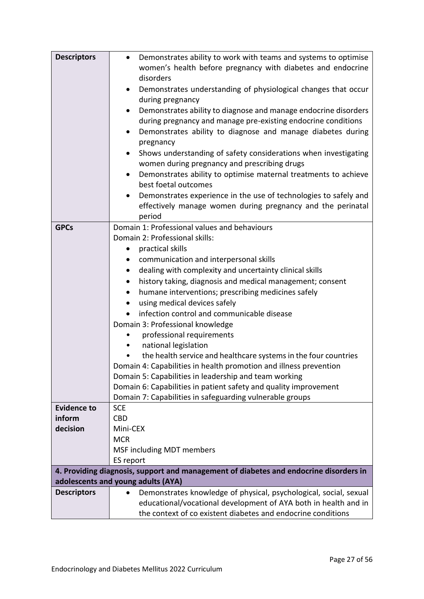| <b>Descriptors</b> | Demonstrates ability to work with teams and systems to optimise                       |
|--------------------|---------------------------------------------------------------------------------------|
|                    | women's health before pregnancy with diabetes and endocrine                           |
|                    | disorders                                                                             |
|                    | Demonstrates understanding of physiological changes that occur<br>٠                   |
|                    | during pregnancy                                                                      |
|                    | Demonstrates ability to diagnose and manage endocrine disorders                       |
|                    | during pregnancy and manage pre-existing endocrine conditions                         |
|                    | Demonstrates ability to diagnose and manage diabetes during<br>٠                      |
|                    | pregnancy                                                                             |
|                    | Shows understanding of safety considerations when investigating                       |
|                    | women during pregnancy and prescribing drugs                                          |
|                    | Demonstrates ability to optimise maternal treatments to achieve<br>٠                  |
|                    | best foetal outcomes                                                                  |
|                    |                                                                                       |
|                    | Demonstrates experience in the use of technologies to safely and                      |
|                    | effectively manage women during pregnancy and the perinatal                           |
| <b>GPCs</b>        | period<br>Domain 1: Professional values and behaviours                                |
|                    | Domain 2: Professional skills:                                                        |
|                    |                                                                                       |
|                    | practical skills<br>$\bullet$                                                         |
|                    | communication and interpersonal skills<br>٠                                           |
|                    | dealing with complexity and uncertainty clinical skills<br>$\bullet$                  |
|                    | history taking, diagnosis and medical management; consent<br>$\bullet$                |
|                    | humane interventions; prescribing medicines safely                                    |
|                    | using medical devices safely                                                          |
|                    | infection control and communicable disease                                            |
|                    | Domain 3: Professional knowledge                                                      |
|                    | professional requirements                                                             |
|                    | national legislation                                                                  |
|                    | the health service and healthcare systems in the four countries                       |
|                    | Domain 4: Capabilities in health promotion and illness prevention                     |
|                    | Domain 5: Capabilities in leadership and team working                                 |
|                    | Domain 6: Capabilities in patient safety and quality improvement                      |
|                    | Domain 7: Capabilities in safeguarding vulnerable groups                              |
| <b>Evidence to</b> | <b>SCE</b>                                                                            |
| inform             | <b>CBD</b>                                                                            |
| decision           | Mini-CEX                                                                              |
|                    | <b>MCR</b>                                                                            |
|                    | MSF including MDT members                                                             |
|                    | ES report                                                                             |
|                    | 4. Providing diagnosis, support and management of diabetes and endocrine disorders in |
|                    | adolescents and young adults (AYA)                                                    |
| <b>Descriptors</b> | Demonstrates knowledge of physical, psychological, social, sexual<br>$\bullet$        |
|                    | educational/vocational development of AYA both in health and in                       |
|                    | the context of co existent diabetes and endocrine conditions                          |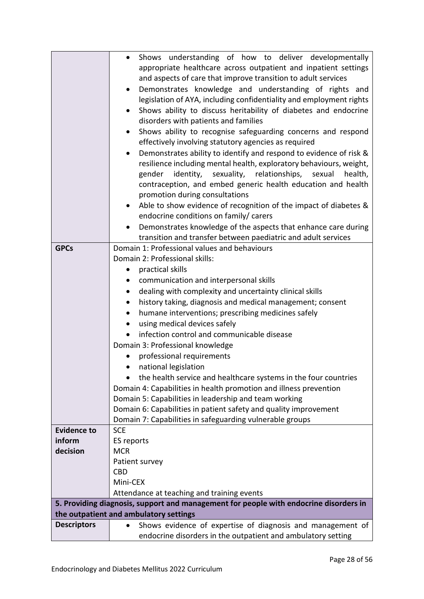|                                                                                       | Shows understanding of how to deliver developmentally<br>$\bullet$              |  |
|---------------------------------------------------------------------------------------|---------------------------------------------------------------------------------|--|
|                                                                                       | appropriate healthcare across outpatient and inpatient settings                 |  |
|                                                                                       | and aspects of care that improve transition to adult services                   |  |
|                                                                                       | Demonstrates knowledge and understanding of rights and<br>$\bullet$             |  |
|                                                                                       | legislation of AYA, including confidentiality and employment rights             |  |
|                                                                                       | Shows ability to discuss heritability of diabetes and endocrine<br>$\bullet$    |  |
|                                                                                       | disorders with patients and families                                            |  |
|                                                                                       | Shows ability to recognise safeguarding concerns and respond<br>$\bullet$       |  |
|                                                                                       | effectively involving statutory agencies as required                            |  |
|                                                                                       | Demonstrates ability to identify and respond to evidence of risk &<br>$\bullet$ |  |
|                                                                                       | resilience including mental health, exploratory behaviours, weight,             |  |
|                                                                                       | gender identity, sexuality, relationships, sexual<br>health,                    |  |
|                                                                                       | contraception, and embed generic health education and health                    |  |
|                                                                                       | promotion during consultations                                                  |  |
|                                                                                       | Able to show evidence of recognition of the impact of diabetes &<br>٠           |  |
|                                                                                       | endocrine conditions on family/ carers                                          |  |
|                                                                                       | Demonstrates knowledge of the aspects that enhance care during                  |  |
|                                                                                       | transition and transfer between paediatric and adult services                   |  |
| <b>GPCs</b>                                                                           | Domain 1: Professional values and behaviours                                    |  |
|                                                                                       | Domain 2: Professional skills:                                                  |  |
|                                                                                       | practical skills<br>$\bullet$                                                   |  |
|                                                                                       | communication and interpersonal skills<br>$\bullet$                             |  |
|                                                                                       | dealing with complexity and uncertainty clinical skills<br>$\bullet$            |  |
|                                                                                       | history taking, diagnosis and medical management; consent<br>$\bullet$          |  |
|                                                                                       | humane interventions; prescribing medicines safely<br>$\bullet$                 |  |
|                                                                                       | using medical devices safely<br>$\bullet$                                       |  |
|                                                                                       | infection control and communicable disease                                      |  |
|                                                                                       | Domain 3: Professional knowledge                                                |  |
|                                                                                       | professional requirements                                                       |  |
|                                                                                       | national legislation<br>$\bullet$                                               |  |
|                                                                                       | the health service and healthcare systems in the four countries                 |  |
|                                                                                       | Domain 4: Capabilities in health promotion and illness prevention               |  |
|                                                                                       | Domain 5: Capabilities in leadership and team working                           |  |
|                                                                                       | Domain 6: Capabilities in patient safety and quality improvement                |  |
|                                                                                       | Domain 7: Capabilities in safeguarding vulnerable groups                        |  |
| <b>Evidence to</b>                                                                    | <b>SCE</b>                                                                      |  |
| inform                                                                                | ES reports                                                                      |  |
| decision                                                                              | <b>MCR</b>                                                                      |  |
|                                                                                       | Patient survey                                                                  |  |
|                                                                                       | <b>CBD</b>                                                                      |  |
|                                                                                       | Mini-CEX                                                                        |  |
|                                                                                       | Attendance at teaching and training events                                      |  |
| 5. Providing diagnosis, support and management for people with endocrine disorders in |                                                                                 |  |
|                                                                                       | the outpatient and ambulatory settings                                          |  |
| <b>Descriptors</b>                                                                    | Shows evidence of expertise of diagnosis and management of                      |  |
|                                                                                       | endocrine disorders in the outpatient and ambulatory setting                    |  |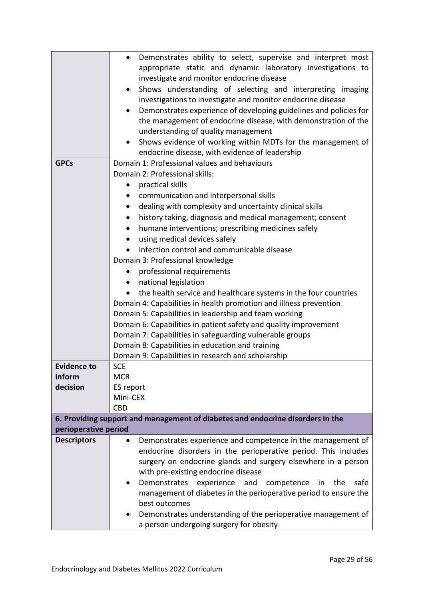|                      | Demonstrates ability to select, supervise and interpret most<br>$\bullet$                                                 |
|----------------------|---------------------------------------------------------------------------------------------------------------------------|
|                      | appropriate static and dynamic laboratory investigations to                                                               |
|                      | investigate and monitor endocrine disease                                                                                 |
|                      | Shows understanding of selecting and interpreting imaging<br>٠                                                            |
|                      | investigations to investigate and monitor endocrine disease                                                               |
|                      | Demonstrates experience of developing guidelines and policies for                                                         |
|                      | the management of endocrine disease, with demonstration of the                                                            |
|                      | understanding of quality management                                                                                       |
|                      | Shows evidence of working within MDTs for the management of                                                               |
|                      | endocrine disease, with evidence of leadership                                                                            |
| <b>GPCs</b>          | Domain 1: Professional values and behaviours                                                                              |
|                      | Domain 2: Professional skills:                                                                                            |
|                      | practical skills<br>$\bullet$                                                                                             |
|                      | communication and interpersonal skills<br>٠                                                                               |
|                      | dealing with complexity and uncertainty clinical skills<br>$\bullet$                                                      |
|                      | history taking, diagnosis and medical management; consent                                                                 |
|                      | humane interventions; prescribing medicines safely                                                                        |
|                      | using medical devices safely                                                                                              |
|                      | infection control and communicable disease                                                                                |
|                      | Domain 3: Professional knowledge                                                                                          |
|                      | professional requirements<br>$\bullet$                                                                                    |
|                      |                                                                                                                           |
|                      | national legislation<br>$\bullet$                                                                                         |
|                      | the health service and healthcare systems in the four countries                                                           |
|                      | Domain 4: Capabilities in health promotion and illness prevention                                                         |
|                      | Domain 5: Capabilities in leadership and team working<br>Domain 6: Capabilities in patient safety and quality improvement |
|                      | Domain 7: Capabilities in safeguarding vulnerable groups                                                                  |
|                      | Domain 8: Capabilities in education and training                                                                          |
|                      | Domain 9: Capabilities in research and scholarship                                                                        |
| <b>Evidence to</b>   | <b>SCE</b>                                                                                                                |
| inform               | <b>MCR</b>                                                                                                                |
| decision             | ES report                                                                                                                 |
|                      | Mini-CEX                                                                                                                  |
|                      | <b>CBD</b>                                                                                                                |
|                      | 6. Providing support and management of diabetes and endocrine disorders in the                                            |
| perioperative period |                                                                                                                           |
| <b>Descriptors</b>   | Demonstrates experience and competence in the management of<br>٠                                                          |
|                      | endocrine disorders in the perioperative period. This includes                                                            |
|                      | surgery on endocrine glands and surgery elsewhere in a person                                                             |
|                      | with pre-existing endocrine disease                                                                                       |
|                      | Demonstrates<br>experience<br>safe<br>and<br>competence<br>in<br>the                                                      |
|                      | management of diabetes in the perioperative period to ensure the                                                          |
|                      | best outcomes                                                                                                             |
|                      | Demonstrates understanding of the perioperative management of                                                             |
|                      | a person undergoing surgery for obesity                                                                                   |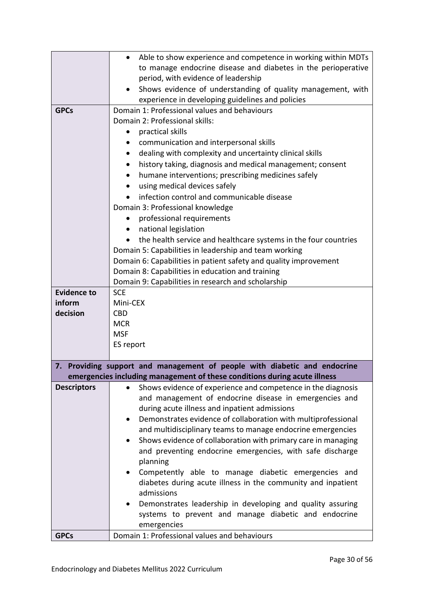|                    | Able to show experience and competence in working within MDTs<br>$\bullet$                                             |
|--------------------|------------------------------------------------------------------------------------------------------------------------|
|                    | to manage endocrine disease and diabetes in the perioperative                                                          |
|                    | period, with evidence of leadership                                                                                    |
|                    | Shows evidence of understanding of quality management, with                                                            |
|                    | experience in developing guidelines and policies                                                                       |
| <b>GPCs</b>        | Domain 1: Professional values and behaviours                                                                           |
|                    | Domain 2: Professional skills:                                                                                         |
|                    | practical skills                                                                                                       |
|                    | communication and interpersonal skills                                                                                 |
|                    | dealing with complexity and uncertainty clinical skills<br>$\bullet$                                                   |
|                    | history taking, diagnosis and medical management; consent<br>$\bullet$                                                 |
|                    | humane interventions; prescribing medicines safely                                                                     |
|                    | using medical devices safely                                                                                           |
|                    | infection control and communicable disease                                                                             |
|                    | Domain 3: Professional knowledge                                                                                       |
|                    | professional requirements                                                                                              |
|                    | national legislation<br>$\bullet$                                                                                      |
|                    | the health service and healthcare systems in the four countries                                                        |
|                    | Domain 5: Capabilities in leadership and team working                                                                  |
|                    | Domain 6: Capabilities in patient safety and quality improvement                                                       |
|                    | Domain 8: Capabilities in education and training                                                                       |
|                    | Domain 9: Capabilities in research and scholarship                                                                     |
| <b>Evidence to</b> | <b>SCE</b>                                                                                                             |
| inform             | Mini-CEX                                                                                                               |
| decision           | <b>CBD</b>                                                                                                             |
|                    | <b>MCR</b>                                                                                                             |
|                    | <b>MSF</b>                                                                                                             |
|                    | ES report                                                                                                              |
|                    |                                                                                                                        |
|                    | 7. Providing support and management of people with diabetic and endocrine                                              |
|                    | emergencies including management of these conditions during acute illness                                              |
| <b>Descriptors</b> | Shows evidence of experience and competence in the diagnosis<br>and management of endocrine disease in emergencies and |
|                    | during acute illness and inpatient admissions                                                                          |
|                    | Demonstrates evidence of collaboration with multiprofessional<br>$\bullet$                                             |
|                    | and multidisciplinary teams to manage endocrine emergencies                                                            |
|                    | Shows evidence of collaboration with primary care in managing                                                          |
|                    | and preventing endocrine emergencies, with safe discharge                                                              |
|                    | planning                                                                                                               |
|                    | Competently able to manage diabetic emergencies and                                                                    |
|                    | diabetes during acute illness in the community and inpatient                                                           |
|                    | admissions                                                                                                             |
|                    | Demonstrates leadership in developing and quality assuring                                                             |
|                    | systems to prevent and manage diabetic and endocrine                                                                   |
|                    | emergencies                                                                                                            |
| <b>GPCs</b>        | Domain 1: Professional values and behaviours                                                                           |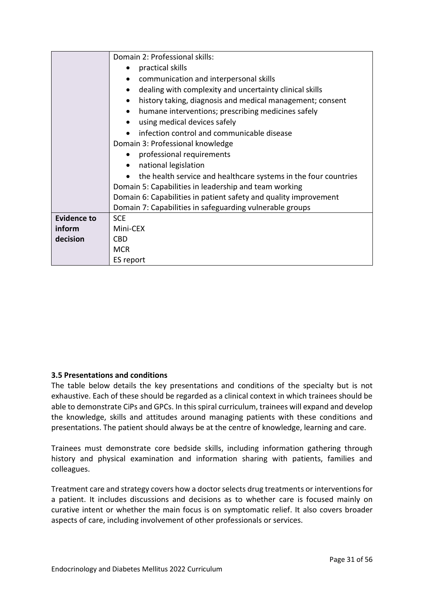|                    | Domain 2: Professional skills:                                   |
|--------------------|------------------------------------------------------------------|
|                    | practical skills                                                 |
|                    | communication and interpersonal skills                           |
|                    | dealing with complexity and uncertainty clinical skills          |
|                    | history taking, diagnosis and medical management; consent        |
|                    | humane interventions; prescribing medicines safely               |
|                    | using medical devices safely                                     |
|                    | infection control and communicable disease                       |
|                    | Domain 3: Professional knowledge                                 |
|                    | professional requirements<br>$\bullet$                           |
|                    | national legislation<br>$\bullet$                                |
|                    | the health service and healthcare systems in the four countries  |
|                    | Domain 5: Capabilities in leadership and team working            |
|                    | Domain 6: Capabilities in patient safety and quality improvement |
|                    | Domain 7: Capabilities in safeguarding vulnerable groups         |
| <b>Evidence to</b> | <b>SCE</b>                                                       |
| inform             | Mini-CEX                                                         |
| decision           | <b>CBD</b>                                                       |
|                    | <b>MCR</b>                                                       |
|                    | ES report                                                        |

## <span id="page-30-0"></span>**3.5 Presentations and conditions**

The table below details the key presentations and conditions of the specialty but is not exhaustive. Each of these should be regarded as a clinical context in which trainees should be able to demonstrate CiPs and GPCs. In this spiral curriculum, trainees will expand and develop the knowledge, skills and attitudes around managing patients with these conditions and presentations. The patient should always be at the centre of knowledge, learning and care.

Trainees must demonstrate core bedside skills, including information gathering through history and physical examination and information sharing with patients, families and colleagues.

Treatment care and strategy covers how a doctor selects drug treatments or interventions for a patient. It includes discussions and decisions as to whether care is focused mainly on curative intent or whether the main focus is on symptomatic relief. It also covers broader aspects of care, including involvement of other professionals or services.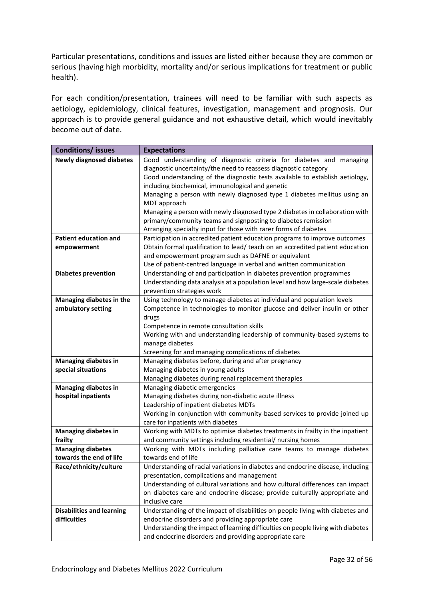Particular presentations, conditions and issues are listed either because they are common or serious (having high morbidity, mortality and/or serious implications for treatment or public health).

For each condition/presentation, trainees will need to be familiar with such aspects as aetiology, epidemiology, clinical features, investigation, management and prognosis. Our approach is to provide general guidance and not exhaustive detail, which would inevitably become out of date.

| <b>Conditions/ issues</b>        | <b>Expectations</b>                                                                        |
|----------------------------------|--------------------------------------------------------------------------------------------|
| <b>Newly diagnosed diabetes</b>  | Good understanding of diagnostic criteria for diabetes and managing                        |
|                                  | diagnostic uncertainty/the need to reassess diagnostic category                            |
|                                  | Good understanding of the diagnostic tests available to establish aetiology,               |
|                                  | including biochemical, immunological and genetic                                           |
|                                  | Managing a person with newly diagnosed type 1 diabetes mellitus using an                   |
|                                  | MDT approach                                                                               |
|                                  | Managing a person with newly diagnosed type 2 diabetes in collaboration with               |
|                                  | primary/community teams and signposting to diabetes remission                              |
|                                  | Arranging specialty input for those with rarer forms of diabetes                           |
| <b>Patient education and</b>     | Participation in accredited patient education programs to improve outcomes                 |
| empowerment                      | Obtain formal qualification to lead/ teach on an accredited patient education              |
|                                  | and empowerment program such as DAFNE or equivalent                                        |
|                                  | Use of patient-centred language in verbal and written communication                        |
| <b>Diabetes prevention</b>       | Understanding of and participation in diabetes prevention programmes                       |
|                                  | Understanding data analysis at a population level and how large-scale diabetes             |
|                                  | prevention strategies work                                                                 |
| Managing diabetes in the         | Using technology to manage diabetes at individual and population levels                    |
| ambulatory setting               | Competence in technologies to monitor glucose and deliver insulin or other                 |
|                                  | drugs                                                                                      |
|                                  | Competence in remote consultation skills                                                   |
|                                  | Working with and understanding leadership of community-based systems to<br>manage diabetes |
|                                  | Screening for and managing complications of diabetes                                       |
| <b>Managing diabetes in</b>      | Managing diabetes before, during and after pregnancy                                       |
| special situations               | Managing diabetes in young adults                                                          |
|                                  | Managing diabetes during renal replacement therapies                                       |
| <b>Managing diabetes in</b>      | Managing diabetic emergencies                                                              |
| hospital inpatients              | Managing diabetes during non-diabetic acute illness                                        |
|                                  | Leadership of inpatient diabetes MDTs                                                      |
|                                  | Working in conjunction with community-based services to provide joined up                  |
|                                  | care for inpatients with diabetes                                                          |
| <b>Managing diabetes in</b>      | Working with MDTs to optimise diabetes treatments in frailty in the inpatient              |
| frailty                          | and community settings including residential/ nursing homes                                |
| <b>Managing diabetes</b>         | Working with MDTs including palliative care teams to manage diabetes                       |
| towards the end of life          | towards end of life                                                                        |
| Race/ethnicity/culture           | Understanding of racial variations in diabetes and endocrine disease, including            |
|                                  | presentation, complications and management                                                 |
|                                  | Understanding of cultural variations and how cultural differences can impact               |
|                                  | on diabetes care and endocrine disease; provide culturally appropriate and                 |
|                                  | inclusive care                                                                             |
| <b>Disabilities and learning</b> | Understanding of the impact of disabilities on people living with diabetes and             |
| difficulties                     | endocrine disorders and providing appropriate care                                         |
|                                  | Understanding the impact of learning difficulties on people living with diabetes           |
|                                  | and endocrine disorders and providing appropriate care                                     |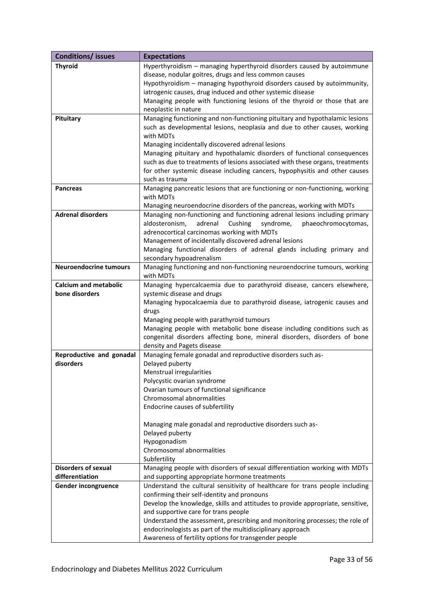| <b>Conditions/ issues</b>     | <b>Expectations</b>                                                            |
|-------------------------------|--------------------------------------------------------------------------------|
| <b>Thyroid</b>                | Hyperthyroidism - managing hyperthyroid disorders caused by autoimmune         |
|                               | disease, nodular goitres, drugs and less common causes                         |
|                               | Hypothyroidism - managing hypothyroid disorders caused by autoimmunity,        |
|                               | iatrogenic causes, drug induced and other systemic disease                     |
|                               | Managing people with functioning lesions of the thyroid or those that are      |
|                               | neoplastic in nature                                                           |
| Pituitary                     | Managing functioning and non-functioning pituitary and hypothalamic lesions    |
|                               | such as developmental lesions, neoplasia and due to other causes, working      |
|                               | with MDTs                                                                      |
|                               | Managing incidentally discovered adrenal lesions                               |
|                               | Managing pituitary and hypothalamic disorders of functional consequences       |
|                               | such as due to treatments of lesions associated with these organs, treatments  |
|                               | for other systemic disease including cancers, hypophysitis and other causes    |
|                               | such as trauma                                                                 |
| <b>Pancreas</b>               | Managing pancreatic lesions that are functioning or non-functioning, working   |
|                               | with MDTs                                                                      |
|                               | Managing neuroendocrine disorders of the pancreas, working with MDTs           |
| <b>Adrenal disorders</b>      | Managing non-functioning and functioning adrenal lesions including primary     |
|                               | aldosteronism,<br>adrenal<br>Cushing<br>phaeochromocytomas,<br>syndrome,       |
|                               | adrenocortical carcinomas working with MDTs                                    |
|                               | Management of incidentally discovered adrenal lesions                          |
|                               | Managing functional disorders of adrenal glands including primary and          |
|                               | secondary hypoadrenalism                                                       |
| <b>Neuroendocrine tumours</b> | Managing functioning and non-functioning neuroendocrine tumours, working       |
|                               | with MDTs                                                                      |
| <b>Calcium and metabolic</b>  | Managing hypercalcaemia due to parathyroid disease, cancers elsewhere,         |
| bone disorders                | systemic disease and drugs                                                     |
|                               | Managing hypocalcaemia due to parathyroid disease, iatrogenic causes and       |
|                               | drugs                                                                          |
|                               | Managing people with parathyroid tumours                                       |
|                               | Managing people with metabolic bone disease including conditions such as       |
|                               | congenital disorders affecting bone, mineral disorders, disorders of bone      |
|                               | density and Pagets disease                                                     |
| Reproductive and gonadal      | Managing female gonadal and reproductive disorders such as-                    |
| disorders                     | Delayed puberty                                                                |
|                               | Menstrual irregularities                                                       |
|                               | Polycystic ovarian syndrome                                                    |
|                               | Ovarian tumours of functional significance                                     |
|                               | Chromosomal abnormalities                                                      |
|                               | Endocrine causes of subfertility                                               |
|                               |                                                                                |
|                               | Managing male gonadal and reproductive disorders such as-                      |
|                               | Delayed puberty                                                                |
|                               | Hypogonadism                                                                   |
|                               | Chromosomal abnormalities                                                      |
|                               | Subfertility                                                                   |
| <b>Disorders of sexual</b>    | Managing people with disorders of sexual differentiation working with MDTs     |
| differentiation               | and supporting appropriate hormone treatments                                  |
| Gender incongruence           | Understand the cultural sensitivity of healthcare for trans people including   |
|                               | confirming their self-identity and pronouns                                    |
|                               | Develop the knowledge, skills and attitudes to provide appropriate, sensitive, |
|                               | and supportive care for trans people                                           |
|                               | Understand the assessment, prescribing and monitoring processes; the role of   |
|                               | endocrinologists as part of the multidisciplinary approach                     |
|                               | Awareness of fertility options for transgender people                          |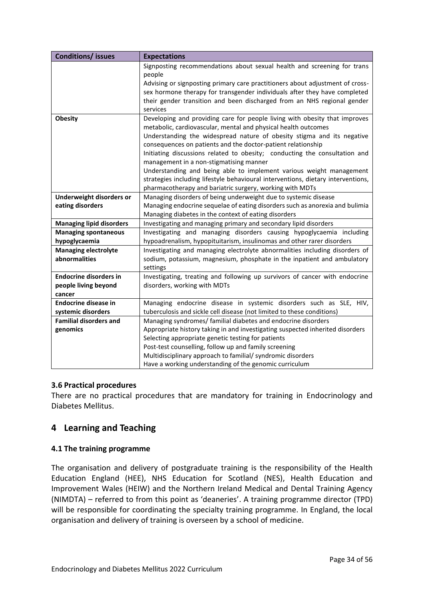| <b>Conditions/ issues</b>       | <b>Expectations</b>                                                                                                                          |
|---------------------------------|----------------------------------------------------------------------------------------------------------------------------------------------|
|                                 | Signposting recommendations about sexual health and screening for trans                                                                      |
|                                 | people                                                                                                                                       |
|                                 | Advising or signposting primary care practitioners about adjustment of cross-                                                                |
|                                 | sex hormone therapy for transgender individuals after they have completed                                                                    |
|                                 | their gender transition and been discharged from an NHS regional gender                                                                      |
|                                 | services                                                                                                                                     |
| <b>Obesity</b>                  | Developing and providing care for people living with obesity that improves<br>metabolic, cardiovascular, mental and physical health outcomes |
|                                 | Understanding the widespread nature of obesity stigma and its negative                                                                       |
|                                 | consequences on patients and the doctor-patient relationship                                                                                 |
|                                 | Initiating discussions related to obesity; conducting the consultation and                                                                   |
|                                 | management in a non-stigmatising manner                                                                                                      |
|                                 | Understanding and being able to implement various weight management                                                                          |
|                                 | strategies including lifestyle behavioural interventions, dietary interventions,                                                             |
|                                 | pharmacotherapy and bariatric surgery, working with MDTs                                                                                     |
| Underweight disorders or        | Managing disorders of being underweight due to systemic disease                                                                              |
| eating disorders                | Managing endocrine sequelae of eating disorders such as anorexia and bulimia                                                                 |
|                                 | Managing diabetes in the context of eating disorders                                                                                         |
| <b>Managing lipid disorders</b> | Investigating and managing primary and secondary lipid disorders                                                                             |
| <b>Managing spontaneous</b>     | Investigating and managing disorders causing hypoglycaemia including                                                                         |
| hypoglycaemia                   | hypoadrenalism, hypopituitarism, insulinomas and other rarer disorders                                                                       |
| <b>Managing electrolyte</b>     | Investigating and managing electrolyte abnormalities including disorders of                                                                  |
| abnormalities                   | sodium, potassium, magnesium, phosphate in the inpatient and ambulatory                                                                      |
|                                 | settings                                                                                                                                     |
| <b>Endocrine disorders in</b>   | Investigating, treating and following up survivors of cancer with endocrine                                                                  |
| people living beyond            | disorders, working with MDTs                                                                                                                 |
| cancer                          |                                                                                                                                              |
| <b>Endocrine disease in</b>     | Managing endocrine disease in systemic disorders such as SLE, HIV,                                                                           |
| systemic disorders              | tuberculosis and sickle cell disease (not limited to these conditions)                                                                       |
| <b>Familial disorders and</b>   | Managing syndromes/ familial diabetes and endocrine disorders                                                                                |
| genomics                        | Appropriate history taking in and investigating suspected inherited disorders                                                                |
|                                 | Selecting appropriate genetic testing for patients                                                                                           |
|                                 | Post-test counselling, follow up and family screening                                                                                        |
|                                 | Multidisciplinary approach to familial/ syndromic disorders                                                                                  |
|                                 | Have a working understanding of the genomic curriculum                                                                                       |

# <span id="page-33-0"></span>**3.6 Practical procedures**

There are no practical procedures that are mandatory for training in Endocrinology and Diabetes Mellitus.

# <span id="page-33-1"></span>**4 Learning and Teaching**

# <span id="page-33-2"></span>**4.1 The training programme**

The organisation and delivery of postgraduate training is the responsibility of the Health Education England (HEE), NHS Education for Scotland (NES), Health Education and Improvement Wales (HEIW) and the Northern Ireland Medical and Dental Training Agency (NIMDTA) – referred to from this point as 'deaneries'. A training programme director (TPD) will be responsible for coordinating the specialty training programme. In England, the local organisation and delivery of training is overseen by a school of medicine.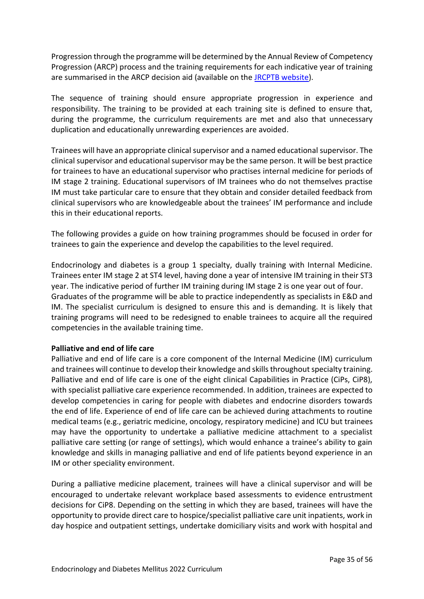Progression through the programme will be determined by the Annual Review of Competency Progression (ARCP) process and the training requirements for each indicative year of training are summarised in the ARCP decision aid (available on the [JRCPTB website\)](http://www.jrcptb.org.uk/).

The sequence of training should ensure appropriate progression in experience and responsibility. The training to be provided at each training site is defined to ensure that, during the programme, the curriculum requirements are met and also that unnecessary duplication and educationally unrewarding experiences are avoided.

Trainees will have an appropriate clinical supervisor and a named educational supervisor. The clinical supervisor and educational supervisor may be the same person. It will be best practice for trainees to have an educational supervisor who practises internal medicine for periods of IM stage 2 training. Educational supervisors of IM trainees who do not themselves practise IM must take particular care to ensure that they obtain and consider detailed feedback from clinical supervisors who are knowledgeable about the trainees' IM performance and include this in their educational reports.

The following provides a guide on how training programmes should be focused in order for trainees to gain the experience and develop the capabilities to the level required.

Endocrinology and diabetes is a group 1 specialty, dually training with Internal Medicine. Trainees enter IM stage 2 at ST4 level, having done a year of intensive IM training in their ST3 year. The indicative period of further IM training during IM stage 2 is one year out of four. Graduates of the programme will be able to practice independently as specialists in E&D and IM. The specialist curriculum is designed to ensure this and is demanding. It is likely that training programs will need to be redesigned to enable trainees to acquire all the required competencies in the available training time.

## **Palliative and end of life care**

Palliative and end of life care is a core component of the Internal Medicine (IM) curriculum and trainees will continue to develop their knowledge and skills throughout specialty training. Palliative and end of life care is one of the eight clinical Capabilities in Practice (CiPs, CiP8), with specialist palliative care experience recommended. In addition, trainees are expected to develop competencies in caring for people with diabetes and endocrine disorders towards the end of life. Experience of end of life care can be achieved during attachments to routine medical teams (e.g., geriatric medicine, oncology, respiratory medicine) and ICU but trainees may have the opportunity to undertake a palliative medicine attachment to a specialist palliative care setting (or range of settings), which would enhance a trainee's ability to gain knowledge and skills in managing palliative and end of life patients beyond experience in an IM or other speciality environment.

During a palliative medicine placement, trainees will have a clinical supervisor and will be encouraged to undertake relevant workplace based assessments to evidence entrustment decisions for CiP8. Depending on the setting in which they are based, trainees will have the opportunity to provide direct care to hospice/specialist palliative care unit inpatients, work in day hospice and outpatient settings, undertake domiciliary visits and work with hospital and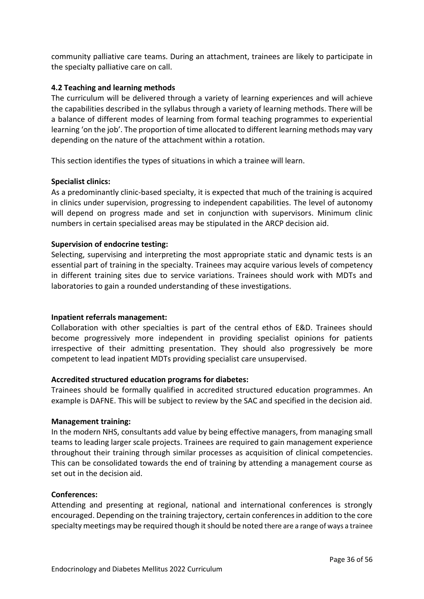community palliative care teams. During an attachment, trainees are likely to participate in the specialty palliative care on call.

## <span id="page-35-0"></span>**4.2 Teaching and learning methods**

The curriculum will be delivered through a variety of learning experiences and will achieve the capabilities described in the syllabus through a variety of learning methods. There will be a balance of different modes of learning from formal teaching programmes to experiential learning 'on the job'. The proportion of time allocated to different learning methods may vary depending on the nature of the attachment within a rotation.

This section identifies the types of situations in which a trainee will learn.

## **Specialist clinics:**

As a predominantly clinic-based specialty, it is expected that much of the training is acquired in clinics under supervision, progressing to independent capabilities. The level of autonomy will depend on progress made and set in conjunction with supervisors. Minimum clinic numbers in certain specialised areas may be stipulated in the ARCP decision aid.

# **Supervision of endocrine testing:**

Selecting, supervising and interpreting the most appropriate static and dynamic tests is an essential part of training in the specialty. Trainees may acquire various levels of competency in different training sites due to service variations. Trainees should work with MDTs and laboratories to gain a rounded understanding of these investigations.

## **Inpatient referrals management:**

Collaboration with other specialties is part of the central ethos of E&D. Trainees should become progressively more independent in providing specialist opinions for patients irrespective of their admitting presentation. They should also progressively be more competent to lead inpatient MDTs providing specialist care unsupervised.

# **Accredited structured education programs for diabetes:**

Trainees should be formally qualified in accredited structured education programmes. An example is DAFNE. This will be subject to review by the SAC and specified in the decision aid.

## **Management training:**

In the modern NHS, consultants add value by being effective managers, from managing small teams to leading larger scale projects. Trainees are required to gain management experience throughout their training through similar processes as acquisition of clinical competencies. This can be consolidated towards the end of training by attending a management course as set out in the decision aid.

## **Conferences:**

Attending and presenting at regional, national and international conferences is strongly encouraged. Depending on the training trajectory, certain conferences in addition to the core specialty meetings may be required though it should be noted there are a range of ways a trainee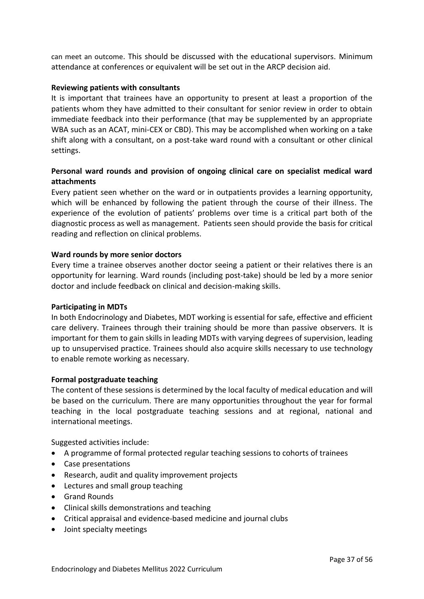can meet an outcome. This should be discussed with the educational supervisors. Minimum attendance at conferences or equivalent will be set out in the ARCP decision aid.

### **Reviewing patients with consultants**

It is important that trainees have an opportunity to present at least a proportion of the patients whom they have admitted to their consultant for senior review in order to obtain immediate feedback into their performance (that may be supplemented by an appropriate WBA such as an ACAT, mini-CEX or CBD). This may be accomplished when working on a take shift along with a consultant, on a post-take ward round with a consultant or other clinical settings.

# **Personal ward rounds and provision of ongoing clinical care on specialist medical ward attachments**

Every patient seen whether on the ward or in outpatients provides a learning opportunity, which will be enhanced by following the patient through the course of their illness. The experience of the evolution of patients' problems over time is a critical part both of the diagnostic process as well as management. Patients seen should provide the basis for critical reading and reflection on clinical problems.

## **Ward rounds by more senior doctors**

Every time a trainee observes another doctor seeing a patient or their relatives there is an opportunity for learning. Ward rounds (including post-take) should be led by a more senior doctor and include feedback on clinical and decision-making skills.

## **Participating in MDTs**

In both Endocrinology and Diabetes, MDT working is essential for safe, effective and efficient care delivery. Trainees through their training should be more than passive observers. It is important for them to gain skills in leading MDTs with varying degrees of supervision, leading up to unsupervised practice. Trainees should also acquire skills necessary to use technology to enable remote working as necessary.

#### **Formal postgraduate teaching**

The content of these sessions is determined by the local faculty of medical education and will be based on the curriculum. There are many opportunities throughout the year for formal teaching in the local postgraduate teaching sessions and at regional, national and international meetings.

Suggested activities include:

- A programme of formal protected regular teaching sessions to cohorts of trainees
- Case presentations
- Research, audit and quality improvement projects
- Lectures and small group teaching
- Grand Rounds
- Clinical skills demonstrations and teaching
- Critical appraisal and evidence-based medicine and journal clubs
- Joint specialty meetings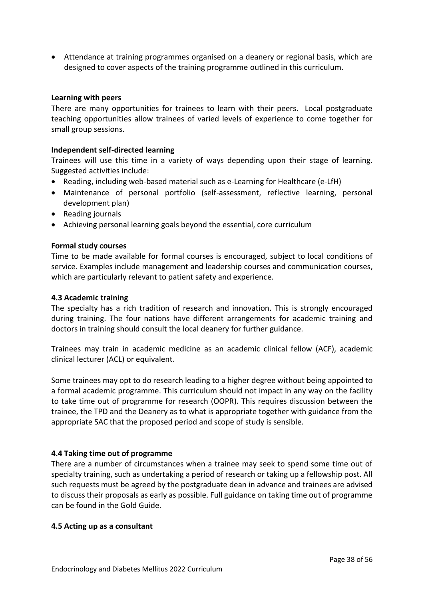• Attendance at training programmes organised on a deanery or regional basis, which are designed to cover aspects of the training programme outlined in this curriculum.

#### **Learning with peers**

There are many opportunities for trainees to learn with their peers. Local postgraduate teaching opportunities allow trainees of varied levels of experience to come together for small group sessions.

#### **Independent self-directed learning**

Trainees will use this time in a variety of ways depending upon their stage of learning. Suggested activities include:

- Reading, including web-based material such as e-Learning for Healthcare (e-LfH)
- Maintenance of personal portfolio (self-assessment, reflective learning, personal development plan)
- Reading journals
- Achieving personal learning goals beyond the essential, core curriculum

#### **Formal study courses**

Time to be made available for formal courses is encouraged, subject to local conditions of service. Examples include management and leadership courses and communication courses, which are particularly relevant to patient safety and experience.

#### <span id="page-37-0"></span>**4.3 Academic training**

The specialty has a rich tradition of research and innovation. This is strongly encouraged during training. The four nations have different arrangements for academic training and doctors in training should consult the local deanery for further guidance.

Trainees may train in academic medicine as an academic clinical fellow (ACF), academic clinical lecturer (ACL) or equivalent.

Some trainees may opt to do research leading to a higher degree without being appointed to a formal academic programme. This curriculum should not impact in any way on the facility to take time out of programme for research (OOPR). This requires discussion between the trainee, the TPD and the Deanery as to what is appropriate together with guidance from the appropriate SAC that the proposed period and scope of study is sensible.

#### <span id="page-37-1"></span>**4.4 Taking time out of programme**

There are a number of circumstances when a trainee may seek to spend some time out of specialty training, such as undertaking a period of research or taking up a fellowship post. All such requests must be agreed by the postgraduate dean in advance and trainees are advised to discuss their proposals as early as possible. Full guidance on taking time out of programme can be found in the Gold Guide.

#### <span id="page-37-2"></span>**4.5 Acting up as a consultant**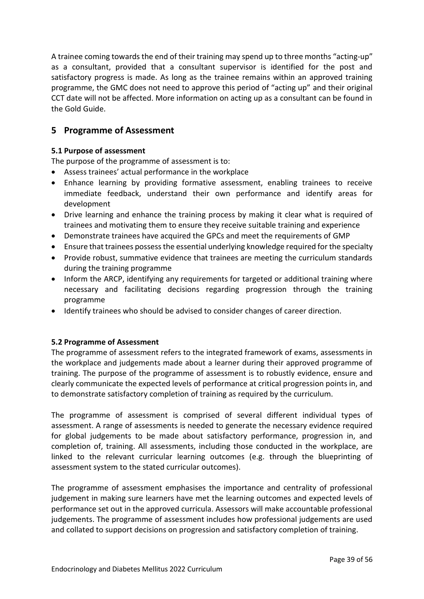A trainee coming towards the end of their training may spend up to three months "acting-up" as a consultant, provided that a consultant supervisor is identified for the post and satisfactory progress is made. As long as the trainee remains within an approved training programme, the GMC does not need to approve this period of "acting up" and their original CCT date will not be affected. More information on acting up as a consultant can be found in the Gold Guide.

# <span id="page-38-0"></span>**5 Programme of Assessment**

# <span id="page-38-1"></span>**5.1 Purpose of assessment**

The purpose of the programme of assessment is to:

- Assess trainees' actual performance in the workplace
- Enhance learning by providing formative assessment, enabling trainees to receive immediate feedback, understand their own performance and identify areas for development
- Drive learning and enhance the training process by making it clear what is required of trainees and motivating them to ensure they receive suitable training and experience
- Demonstrate trainees have acquired the GPCs and meet the requirements of GMP
- Ensure that trainees possess the essential underlying knowledge required for the specialty
- Provide robust, summative evidence that trainees are meeting the curriculum standards during the training programme
- Inform the ARCP, identifying any requirements for targeted or additional training where necessary and facilitating decisions regarding progression through the training programme
- Identify trainees who should be advised to consider changes of career direction.

## <span id="page-38-2"></span>**5.2 Programme of Assessment**

The programme of assessment refers to the integrated framework of exams, assessments in the workplace and judgements made about a learner during their approved programme of training. The purpose of the programme of assessment is to robustly evidence, ensure and clearly communicate the expected levels of performance at critical progression points in, and to demonstrate satisfactory completion of training as required by the curriculum.

The programme of assessment is comprised of several different individual types of assessment. A range of assessments is needed to generate the necessary evidence required for global judgements to be made about satisfactory performance, progression in, and completion of, training. All assessments, including those conducted in the workplace, are linked to the relevant curricular learning outcomes (e.g. through the blueprinting of assessment system to the stated curricular outcomes).

The programme of assessment emphasises the importance and centrality of professional judgement in making sure learners have met the learning outcomes and expected levels of performance set out in the approved curricula. Assessors will make accountable professional judgements. The programme of assessment includes how professional judgements are used and collated to support decisions on progression and satisfactory completion of training.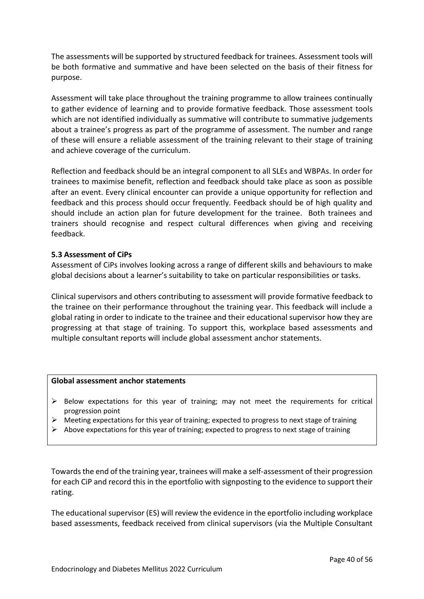The assessments will be supported by structured feedback for trainees. Assessment tools will be both formative and summative and have been selected on the basis of their fitness for purpose.

Assessment will take place throughout the training programme to allow trainees continually to gather evidence of learning and to provide formative feedback. Those assessment tools which are not identified individually as summative will contribute to summative judgements about a trainee's progress as part of the programme of assessment. The number and range of these will ensure a reliable assessment of the training relevant to their stage of training and achieve coverage of the curriculum.

Reflection and feedback should be an integral component to all SLEs and WBPAs. In order for trainees to maximise benefit, reflection and feedback should take place as soon as possible after an event. Every clinical encounter can provide a unique opportunity for reflection and feedback and this process should occur frequently. Feedback should be of high quality and should include an action plan for future development for the trainee. Both trainees and trainers should recognise and respect cultural differences when giving and receiving feedback.

## <span id="page-39-0"></span>**5.3 Assessment of CiPs**

Assessment of CiPs involves looking across a range of different skills and behaviours to make global decisions about a learner's suitability to take on particular responsibilities or tasks.

Clinical supervisors and others contributing to assessment will provide formative feedback to the trainee on their performance throughout the training year. This feedback will include a global rating in order to indicate to the trainee and their educational supervisor how they are progressing at that stage of training. To support this, workplace based assessments and multiple consultant reports will include global assessment anchor statements.

#### **Global assessment anchor statements**

- $\triangleright$  Below expectations for this year of training; may not meet the requirements for critical progression point
- $\triangleright$  Meeting expectations for this year of training; expected to progress to next stage of training
- $\triangleright$  Above expectations for this year of training; expected to progress to next stage of training

Towards the end of the training year, trainees will make a self-assessment of their progression for each CiP and record this in the eportfolio with signposting to the evidence to support their rating.

The educational supervisor (ES) will review the evidence in the eportfolio including workplace based assessments, feedback received from clinical supervisors (via the Multiple Consultant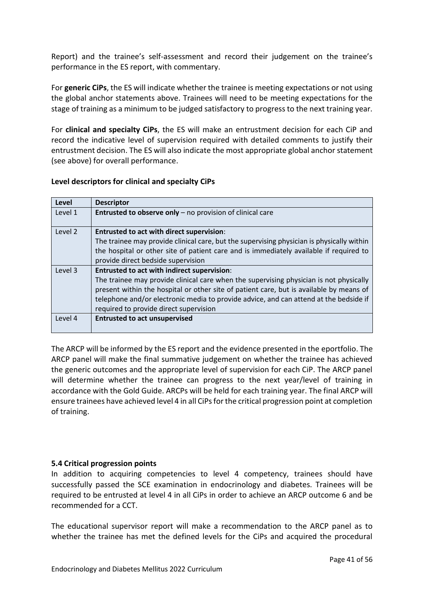Report) and the trainee's self-assessment and record their judgement on the trainee's performance in the ES report, with commentary.

For **generic CiPs**, the ES will indicate whether the trainee is meeting expectations or not using the global anchor statements above. Trainees will need to be meeting expectations for the stage of training as a minimum to be judged satisfactory to progress to the next training year.

For **clinical and specialty CiPs**, the ES will make an entrustment decision for each CiP and record the indicative level of supervision required with detailed comments to justify their entrustment decision. The ES will also indicate the most appropriate global anchor statement (see above) for overall performance.

## **Level descriptors for clinical and specialty CiPs**

| Level   | <b>Descriptor</b>                                                                         |
|---------|-------------------------------------------------------------------------------------------|
| Level 1 | Entrusted to observe only - no provision of clinical care                                 |
| Level 2 | <b>Entrusted to act with direct supervision:</b>                                          |
|         | The trainee may provide clinical care, but the supervising physician is physically within |
|         | the hospital or other site of patient care and is immediately available if required to    |
|         | provide direct bedside supervision                                                        |
| Level 3 | <b>Entrusted to act with indirect supervision:</b>                                        |
|         | The trainee may provide clinical care when the supervising physician is not physically    |
|         | present within the hospital or other site of patient care, but is available by means of   |
|         | telephone and/or electronic media to provide advice, and can attend at the bedside if     |
|         | required to provide direct supervision                                                    |
| Level 4 | <b>Entrusted to act unsupervised</b>                                                      |
|         |                                                                                           |

The ARCP will be informed by the ES report and the evidence presented in the eportfolio. The ARCP panel will make the final summative judgement on whether the trainee has achieved the generic outcomes and the appropriate level of supervision for each CiP. The ARCP panel will determine whether the trainee can progress to the next year/level of training in accordance with the Gold Guide. ARCPs will be held for each training year. The final ARCP will ensure trainees have achieved level 4 in all CiPs for the critical progression point at completion of training.

## <span id="page-40-0"></span>**5.4 Critical progression points**

In addition to acquiring competencies to level 4 competency, trainees should have successfully passed the SCE examination in endocrinology and diabetes. Trainees will be required to be entrusted at level 4 in all CiPs in order to achieve an ARCP outcome 6 and be recommended for a CCT.

The educational supervisor report will make a recommendation to the ARCP panel as to whether the trainee has met the defined levels for the CiPs and acquired the procedural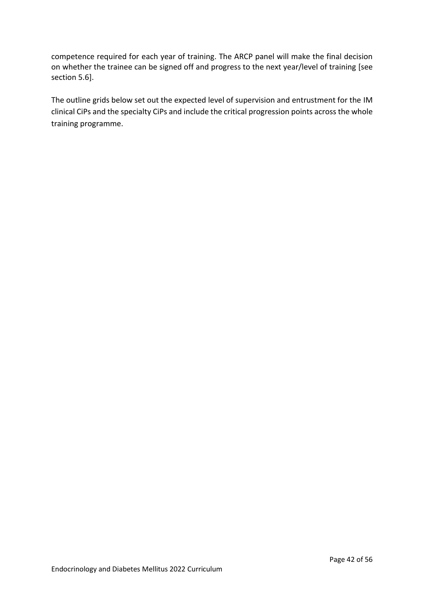competence required for each year of training. The ARCP panel will make the final decision on whether the trainee can be signed off and progress to the next year/level of training [see section 5.6].

The outline grids below set out the expected level of supervision and entrustment for the IM clinical CiPs and the specialty CiPs and include the critical progression points across the whole training programme.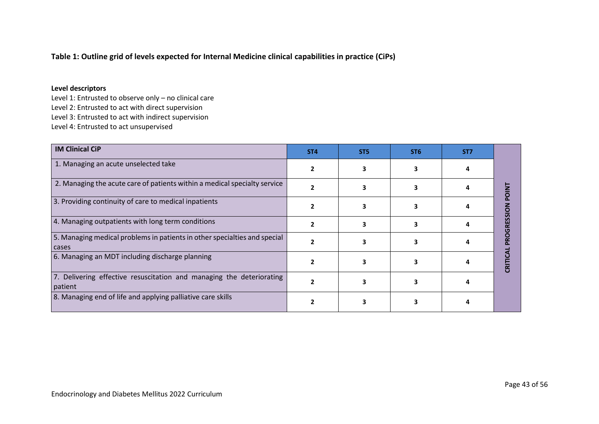# **Table 1: Outline grid of levels expected for Internal Medicine clinical capabilities in practice (CiPs)**

#### **Level descriptors**

Level 1: Entrusted to observe only – no clinical care Level 2: Entrusted to act with direct supervision Level 3: Entrusted to act with indirect supervision Level 4: Entrusted to act unsupervised

| <b>IM Clinical CiP</b>                                                             | ST <sub>4</sub> | ST <sub>5</sub> | ST <sub>6</sub> | ST7 |  |
|------------------------------------------------------------------------------------|-----------------|-----------------|-----------------|-----|--|
| 1. Managing an acute unselected take                                               |                 |                 |                 |     |  |
| 2. Managing the acute care of patients within a medical specialty service          |                 |                 |                 |     |  |
| 3. Providing continuity of care to medical inpatients                              |                 |                 |                 |     |  |
| 4. Managing outpatients with long term conditions                                  |                 |                 |                 |     |  |
| 5. Managing medical problems in patients in other specialties and special<br>cases |                 |                 |                 |     |  |
| 6. Managing an MDT including discharge planning                                    |                 |                 |                 |     |  |
| 7. Delivering effective resuscitation and managing the deteriorating<br>patient    |                 |                 |                 |     |  |
| 8. Managing end of life and applying palliative care skills                        |                 |                 |                 |     |  |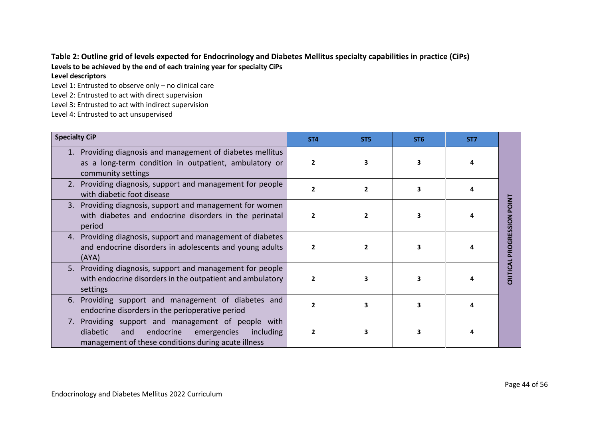## **Table 2: Outline grid of levels expected for Endocrinology and Diabetes Mellitus specialty capabilities in practice (CiPs) Levels to be achieved by the end of each training year for specialty CiPs Level descriptors**

Level 1: Entrusted to observe only – no clinical care

Level 2: Entrusted to act with direct supervision

Level 3: Entrusted to act with indirect supervision

Level 4: Entrusted to act unsupervised

| <b>Specialty CiP</b>                                                                                                                                                     | ST <sub>4</sub> | ST <sub>5</sub> | ST <sub>6</sub> | ST <sub>7</sub> |              |
|--------------------------------------------------------------------------------------------------------------------------------------------------------------------------|-----------------|-----------------|-----------------|-----------------|--------------|
| Providing diagnosis and management of diabetes mellitus<br>as a long-term condition in outpatient, ambulatory or<br>community settings                                   | 2               |                 |                 |                 |              |
| Providing diagnosis, support and management for people<br>2.<br>with diabetic foot disease                                                                               |                 |                 | 3               |                 |              |
| Providing diagnosis, support and management for women<br>3.<br>with diabetes and endocrine disorders in the perinatal<br>period                                          |                 |                 |                 |                 | <b>POINT</b> |
| Providing diagnosis, support and management of diabetes<br>4.<br>and endocrine disorders in adolescents and young adults<br>(AYA)                                        |                 |                 |                 |                 | PROGRESSION  |
| Providing diagnosis, support and management for people<br>5.<br>with endocrine disorders in the outpatient and ambulatory<br>settings                                    |                 |                 | 3               |                 | CRITICAL     |
| Providing support and management of diabetes and<br>6.<br>endocrine disorders in the perioperative period                                                                |                 | 3               | 3               |                 |              |
| Providing support and management of people with<br>7.<br>diabetic<br>emergencies<br>including<br>endocrine<br>and<br>management of these conditions during acute illness |                 |                 |                 |                 |              |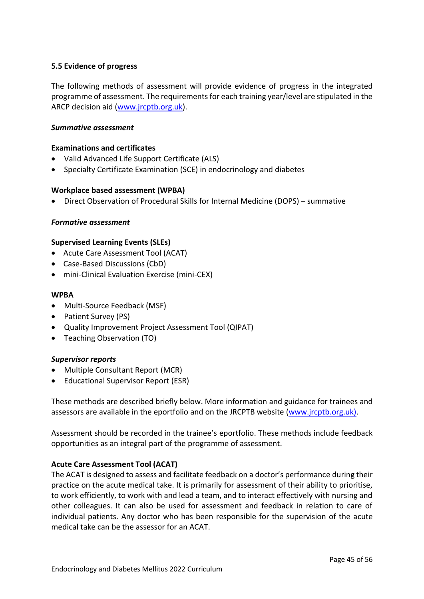## <span id="page-44-0"></span>**5.5 Evidence of progress**

The following methods of assessment will provide evidence of progress in the integrated programme of assessment. The requirements for each training year/level are stipulated in the ARCP decision aid [\(www.jrcptb.org.uk\)](http://www.jrcptb.org.uk/).

### *Summative assessment*

### **Examinations and certificates**

- Valid Advanced Life Support Certificate (ALS)
- Specialty Certificate Examination (SCE) in endocrinology and diabetes

### **Workplace based assessment (WPBA)**

• Direct Observation of Procedural Skills for Internal Medicine (DOPS) – summative

### *Formative assessment*

### **Supervised Learning Events (SLEs)**

- Acute Care Assessment Tool (ACAT)
- Case-Based Discussions (CbD)
- mini-Clinical Evaluation Exercise (mini-CEX)

### **WPBA**

- Multi-Source Feedback (MSF)
- Patient Survey (PS)
- Quality Improvement Project Assessment Tool (QIPAT)
- Teaching Observation (TO)

## *Supervisor reports*

- Multiple Consultant Report (MCR)
- Educational Supervisor Report (ESR)

These methods are described briefly below. More information and guidance for trainees and assessors are available in the eportfolio and on the JRCPTB website [\(www.jrcptb.org.uk\)](http://www.jrcptb.org.uk/).

Assessment should be recorded in the trainee's eportfolio. These methods include feedback opportunities as an integral part of the programme of assessment.

## **Acute Care Assessment Tool (ACAT)**

The ACAT is designed to assess and facilitate feedback on a doctor's performance during their practice on the acute medical take. It is primarily for assessment of their ability to prioritise, to work efficiently, to work with and lead a team, and to interact effectively with nursing and other colleagues. It can also be used for assessment and feedback in relation to care of individual patients. Any doctor who has been responsible for the supervision of the acute medical take can be the assessor for an ACAT.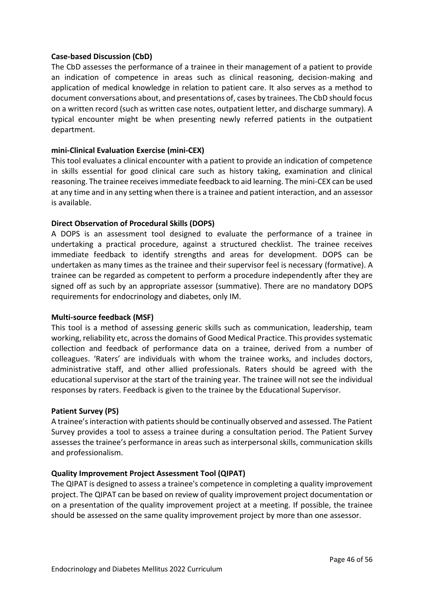### **Case-based Discussion (CbD)**

The CbD assesses the performance of a trainee in their management of a patient to provide an indication of competence in areas such as clinical reasoning, decision-making and application of medical knowledge in relation to patient care. It also serves as a method to document conversations about, and presentations of, cases by trainees. The CbD should focus on a written record (such as written case notes, outpatient letter, and discharge summary). A typical encounter might be when presenting newly referred patients in the outpatient department.

### **mini-Clinical Evaluation Exercise (mini-CEX)**

This tool evaluates a clinical encounter with a patient to provide an indication of competence in skills essential for good clinical care such as history taking, examination and clinical reasoning. The trainee receives immediate feedback to aid learning. The mini-CEX can be used at any time and in any setting when there is a trainee and patient interaction, and an assessor is available.

### **Direct Observation of Procedural Skills (DOPS)**

A DOPS is an assessment tool designed to evaluate the performance of a trainee in undertaking a practical procedure, against a structured checklist. The trainee receives immediate feedback to identify strengths and areas for development. DOPS can be undertaken as many times as the trainee and their supervisor feel is necessary (formative). A trainee can be regarded as competent to perform a procedure independently after they are signed off as such by an appropriate assessor (summative). There are no mandatory DOPS requirements for endocrinology and diabetes, only IM.

#### **Multi-source feedback (MSF)**

This tool is a method of assessing generic skills such as communication, leadership, team working, reliability etc, across the domains of Good Medical Practice. This provides systematic collection and feedback of performance data on a trainee, derived from a number of colleagues. 'Raters' are individuals with whom the trainee works, and includes doctors, administrative staff, and other allied professionals. Raters should be agreed with the educational supervisor at the start of the training year. The trainee will not see the individual responses by raters. Feedback is given to the trainee by the Educational Supervisor.

#### **Patient Survey (PS)**

A trainee's interaction with patients should be continually observed and assessed. The Patient Survey provides a tool to assess a trainee during a consultation period. The Patient Survey assesses the trainee's performance in areas such as interpersonal skills, communication skills and professionalism.

#### **Quality Improvement Project Assessment Tool (QIPAT)**

The QIPAT is designed to assess a trainee's competence in completing a quality improvement project. The QIPAT can be based on review of quality improvement project documentation or on a presentation of the quality improvement project at a meeting. If possible, the trainee should be assessed on the same quality improvement project by more than one assessor.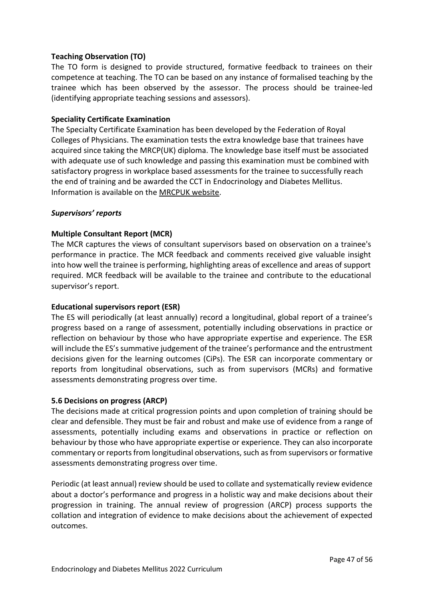## **Teaching Observation (TO)**

The TO form is designed to provide structured, formative feedback to trainees on their competence at teaching. The TO can be based on any instance of formalised teaching by the trainee which has been observed by the assessor. The process should be trainee-led (identifying appropriate teaching sessions and assessors).

## **Speciality Certificate Examination**

The Specialty Certificate Examination has been developed by the Federation of Royal Colleges of Physicians. The examination tests the extra knowledge base that trainees have acquired since taking the MRCP(UK) diploma. The knowledge base itself must be associated with adequate use of such knowledge and passing this examination must be combined with satisfactory progress in workplace based assessments for the trainee to successfully reach the end of training and be awarded the CCT in Endocrinology and Diabetes Mellitus. Information is available on the [MRCPUK website.](https://www.mrcpuk.org/mrcpuk-examinations/specialty-certificate-examinations/specialties/respiratory-medicine)

## *Supervisors' reports*

# **Multiple Consultant Report (MCR)**

The MCR captures the views of consultant supervisors based on observation on a trainee's performance in practice. The MCR feedback and comments received give valuable insight into how well the trainee is performing, highlighting areas of excellence and areas of support required. MCR feedback will be available to the trainee and contribute to the educational supervisor's report.

## **Educational supervisors report (ESR)**

The ES will periodically (at least annually) record a longitudinal, global report of a trainee's progress based on a range of assessment, potentially including observations in practice or reflection on behaviour by those who have appropriate expertise and experience. The ESR will include the ES's summative judgement of the trainee's performance and the entrustment decisions given for the learning outcomes (CiPs). The ESR can incorporate commentary or reports from longitudinal observations, such as from supervisors (MCRs) and formative assessments demonstrating progress over time.

## <span id="page-46-0"></span>**5.6 Decisions on progress (ARCP)**

The decisions made at critical progression points and upon completion of training should be clear and defensible. They must be fair and robust and make use of evidence from a range of assessments, potentially including exams and observations in practice or reflection on behaviour by those who have appropriate expertise or experience. They can also incorporate commentary or reports from longitudinal observations, such as from supervisors or formative assessments demonstrating progress over time.

Periodic (at least annual) review should be used to collate and systematically review evidence about a doctor's performance and progress in a holistic way and make decisions about their progression in training. The annual review of progression (ARCP) process supports the collation and integration of evidence to make decisions about the achievement of expected outcomes.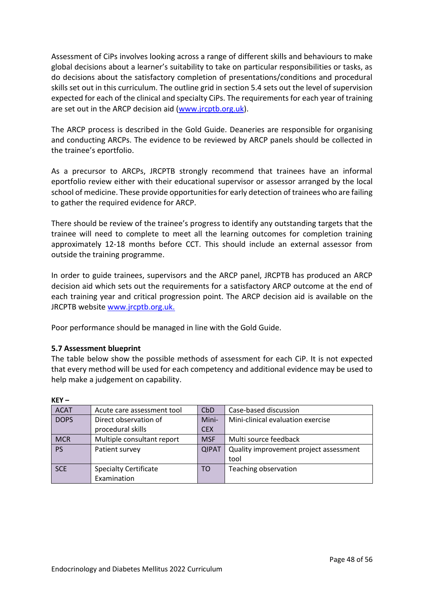Assessment of CiPs involves looking across a range of different skills and behaviours to make global decisions about a learner's suitability to take on particular responsibilities or tasks, as do decisions about the satisfactory completion of presentations/conditions and procedural skills set out in this curriculum. The outline grid in section 5.4 sets out the level of supervision expected for each of the clinical and specialty CiPs. The requirements for each year of training are set out in the ARCP decision aid [\(www.jrcptb.org.uk\)](http://www.jrcptb.org.uk/).

The ARCP process is described in the Gold Guide. Deaneries are responsible for organising and conducting ARCPs. The evidence to be reviewed by ARCP panels should be collected in the trainee's eportfolio.

As a precursor to ARCPs, JRCPTB strongly recommend that trainees have an informal eportfolio review either with their educational supervisor or assessor arranged by the local school of medicine. These provide opportunities for early detection of trainees who are failing to gather the required evidence for ARCP.

There should be review of the trainee's progress to identify any outstanding targets that the trainee will need to complete to meet all the learning outcomes for completion training approximately 12-18 months before CCT. This should include an external assessor from outside the training programme.

In order to guide trainees, supervisors and the ARCP panel, JRCPTB has produced an ARCP decision aid which sets out the requirements for a satisfactory ARCP outcome at the end of each training year and critical progression point. The ARCP decision aid is available on the JRCPTB website [www.jrcptb.org.uk.](http://www.jrcptb.org.uk/)

Poor performance should be managed in line with the Gold Guide.

# <span id="page-47-0"></span>**5.7 Assessment blueprint**

**KEY –**

The table below show the possible methods of assessment for each CiP. It is not expected that every method will be used for each competency and additional evidence may be used to help make a judgement on capability.

| <b>ACAT</b> | Acute care assessment tool   | <b>CbD</b>   | Case-based discussion                  |
|-------------|------------------------------|--------------|----------------------------------------|
| <b>DOPS</b> | Direct observation of        | Mini-        | Mini-clinical evaluation exercise      |
|             | procedural skills            | <b>CEX</b>   |                                        |
| <b>MCR</b>  | Multiple consultant report   | <b>MSF</b>   | Multi source feedback                  |
| <b>PS</b>   | Patient survey               | <b>QIPAT</b> | Quality improvement project assessment |
|             |                              |              | tool                                   |
| <b>SCE</b>  | <b>Specialty Certificate</b> | TO           | Teaching observation                   |
|             | Examination                  |              |                                        |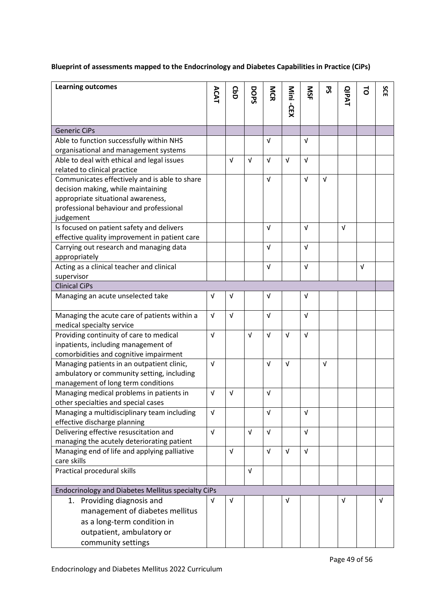# **Blueprint of assessments mapped to the Endocrinology and Diabetes Capabilities in Practice (CiPs)**

| <b>Learning outcomes</b>                                                                                                                                             | ACAT       | <b>CbD</b> | DOPS       | MCR        | Mini -CEX  | SN         | ჯ          | <b>QIPAT</b> | ಕ          | SCE        |
|----------------------------------------------------------------------------------------------------------------------------------------------------------------------|------------|------------|------------|------------|------------|------------|------------|--------------|------------|------------|
| <b>Generic CiPs</b>                                                                                                                                                  |            |            |            |            |            |            |            |              |            |            |
| Able to function successfully within NHS                                                                                                                             |            |            |            | $\sqrt{ }$ |            | $\sqrt{ }$ |            |              |            |            |
| organisational and management systems                                                                                                                                |            |            |            |            |            |            |            |              |            |            |
| Able to deal with ethical and legal issues<br>related to clinical practice                                                                                           |            | $\sqrt{ }$ | $\sqrt{ }$ | $\sqrt{ }$ | $\sqrt{ }$ | $\sqrt{ }$ |            |              |            |            |
| Communicates effectively and is able to share<br>decision making, while maintaining<br>appropriate situational awareness,<br>professional behaviour and professional |            |            |            | $\sqrt{ }$ |            | $\sqrt{ }$ | $\sqrt{ }$ |              |            |            |
| judgement                                                                                                                                                            |            |            |            |            |            |            |            |              |            |            |
| Is focused on patient safety and delivers<br>effective quality improvement in patient care                                                                           |            |            |            | $\sqrt{ }$ |            | $\sqrt{ }$ |            | $\sqrt{ }$   |            |            |
| Carrying out research and managing data<br>appropriately                                                                                                             |            |            |            | $\sqrt{ }$ |            | $\sqrt{ }$ |            |              |            |            |
| Acting as a clinical teacher and clinical<br>supervisor                                                                                                              |            |            |            | $\sqrt{ }$ |            | $\sqrt{ }$ |            |              | $\sqrt{ }$ |            |
| <b>Clinical CiPs</b>                                                                                                                                                 |            |            |            |            |            |            |            |              |            |            |
| Managing an acute unselected take                                                                                                                                    | $\sqrt{ }$ | $\sqrt{ }$ |            | $\sqrt{ }$ |            | $\sqrt{ }$ |            |              |            |            |
| Managing the acute care of patients within a<br>medical specialty service                                                                                            | $\sqrt{ }$ | $\sqrt{ }$ |            | $\sqrt{ }$ |            | $\sqrt{ }$ |            |              |            |            |
| Providing continuity of care to medical<br>inpatients, including management of<br>comorbidities and cognitive impairment                                             | V          |            | $\sqrt{ }$ | $\sqrt{ }$ | $\sqrt{ }$ | $\sqrt{ }$ |            |              |            |            |
| Managing patients in an outpatient clinic,<br>ambulatory or community setting, including<br>management of long term conditions                                       | $\sqrt{ }$ |            |            | $\sqrt{ }$ | $\sqrt{ }$ |            | $\sqrt{ }$ |              |            |            |
| Managing medical problems in patients in<br>other specialties and special cases                                                                                      | V          | V          |            | V          |            |            |            |              |            |            |
| Managing a multidisciplinary team including<br>effective discharge planning                                                                                          | V          |            |            | $\sqrt{ }$ |            | $\sqrt{ }$ |            |              |            |            |
| Delivering effective resuscitation and<br>managing the acutely deteriorating patient                                                                                 | $\sqrt{ }$ |            | $\sqrt{ }$ | $\sqrt{ }$ |            | $\sqrt{ }$ |            |              |            |            |
| Managing end of life and applying palliative<br>care skills                                                                                                          |            | $\sqrt{ }$ |            | $\sqrt{ }$ | $\sqrt{ }$ | $\sqrt{ }$ |            |              |            |            |
| Practical procedural skills                                                                                                                                          |            |            | $\sqrt{ }$ |            |            |            |            |              |            |            |
| Endocrinology and Diabetes Mellitus specialty CiPs                                                                                                                   |            |            |            |            |            |            |            |              |            |            |
| 1. Providing diagnosis and<br>management of diabetes mellitus<br>as a long-term condition in<br>outpatient, ambulatory or<br>community settings                      | V          | $\sqrt{ }$ |            |            | V          |            |            | $\sqrt{ }$   |            | $\sqrt{ }$ |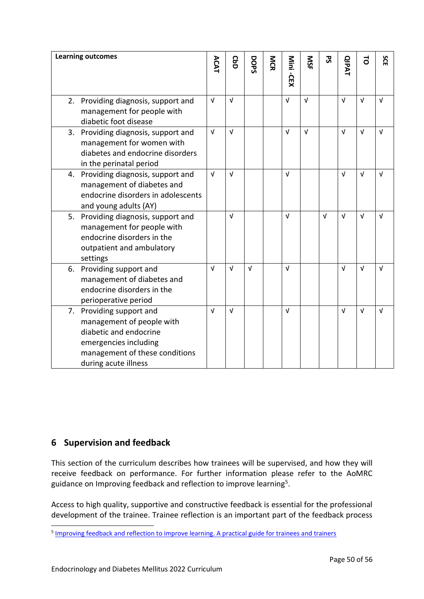| <b>Learning outcomes</b>                                                                                                                                           | ACAT       | <b>GbD</b> | DOPS       | MCR | Mini -CEX  | SN         | 52         | <b>QIPAT</b> | 5          | SCE        |
|--------------------------------------------------------------------------------------------------------------------------------------------------------------------|------------|------------|------------|-----|------------|------------|------------|--------------|------------|------------|
| 2. Providing diagnosis, support and<br>management for people with<br>diabetic foot disease                                                                         | $\sqrt{ }$ | $\sqrt{ }$ |            |     | $\sqrt{ }$ | $\sqrt{ }$ |            | $\sqrt{ }$   | $\sqrt{ }$ | $\sqrt{ }$ |
| Providing diagnosis, support and<br>3.<br>management for women with<br>diabetes and endocrine disorders<br>in the perinatal period                                 | $\sqrt{ }$ | $\sqrt{ }$ |            |     | $\sqrt{ }$ | $\sqrt{ }$ |            | $\sqrt{ }$   | $\sqrt{ }$ | $\sqrt{ }$ |
| 4. Providing diagnosis, support and<br>management of diabetes and<br>endocrine disorders in adolescents<br>and young adults (AY)                                   | $\sqrt{ }$ | $\sqrt{ }$ |            |     | $\sqrt{ }$ |            |            | $\sqrt{ }$   | $\sqrt{ }$ | $\sqrt{ }$ |
| 5. Providing diagnosis, support and<br>management for people with<br>endocrine disorders in the<br>outpatient and ambulatory<br>settings                           |            | $\sqrt{ }$ |            |     | $\sqrt{ }$ |            | $\sqrt{ }$ | $\sqrt{ }$   | $\sqrt{ }$ | $\sqrt{ }$ |
| 6. Providing support and<br>management of diabetes and<br>endocrine disorders in the<br>perioperative period                                                       | $\sqrt{ }$ | $\sqrt{ }$ | $\sqrt{ }$ |     | $\sqrt{ }$ |            |            | $\sqrt{ }$   | $\sqrt{ }$ | V          |
| 7. Providing support and<br>management of people with<br>diabetic and endocrine<br>emergencies including<br>management of these conditions<br>during acute illness | $\sqrt{ }$ | $\sqrt{ }$ |            |     | $\sqrt{ }$ |            |            | $\sqrt{ }$   | $\sqrt{ }$ | $\sqrt{ }$ |

# <span id="page-49-0"></span>**6 Supervision and feedback**

This section of the curriculum describes how trainees will be supervised, and how they will receive feedback on performance. For further information please refer to the AoMRC guidance on Improving feedback and reflection to improve learning<sup>5</sup>.

Access to high quality, supportive and constructive feedback is essential for the professional development of the trainee. Trainee reflection is an important part of the feedback process

<sup>&</sup>lt;sup>5</sup> [Improving feedback and reflection to improve learning. A practical guide for trainees and trainers](http://www.aomrc.org.uk/publications/reports-guidance/improving-feedback-reflection-improve-learning-practical-guide-trainees-trainers/)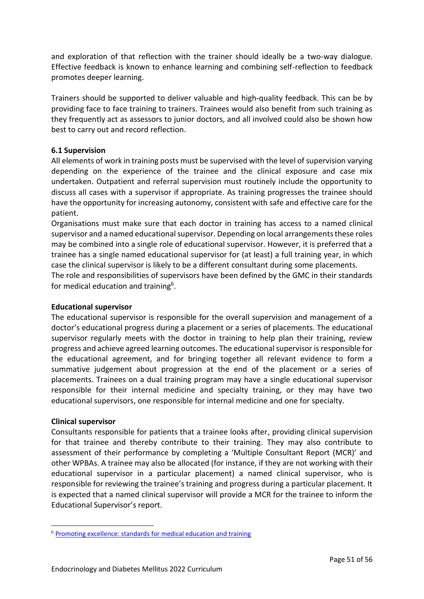and exploration of that reflection with the trainer should ideally be a two-way dialogue. Effective feedback is known to enhance learning and combining self-reflection to feedback promotes deeper learning.

Trainers should be supported to deliver valuable and high-quality feedback. This can be by providing face to face training to trainers. Trainees would also benefit from such training as they frequently act as assessors to junior doctors, and all involved could also be shown how best to carry out and record reflection.

# <span id="page-50-0"></span>**6.1 Supervision**

All elements of work in training posts must be supervised with the level of supervision varying depending on the experience of the trainee and the clinical exposure and case mix undertaken. Outpatient and referral supervision must routinely include the opportunity to discuss all cases with a supervisor if appropriate. As training progresses the trainee should have the opportunity for increasing autonomy, consistent with safe and effective care for the patient.

Organisations must make sure that each doctor in training has access to a named clinical supervisor and a named educational supervisor. Depending on local arrangements these roles may be combined into a single role of educational supervisor. However, it is preferred that a trainee has a single named educational supervisor for (at least) a full training year, in which case the clinical supervisor is likely to be a different consultant during some placements.

The role and responsibilities of supervisors have been defined by the GMC in their standards for medical education and training<sup>6</sup>.

## **Educational supervisor**

The educational supervisor is responsible for the overall supervision and management of a doctor's educational progress during a placement or a series of placements. The educational supervisor regularly meets with the doctor in training to help plan their training, review progress and achieve agreed learning outcomes. The educational supervisor is responsible for the educational agreement, and for bringing together all relevant evidence to form a summative judgement about progression at the end of the placement or a series of placements. Trainees on a dual training program may have a single educational supervisor responsible for their internal medicine and specialty training, or they may have two educational supervisors, one responsible for internal medicine and one for specialty.

## **Clinical supervisor**

Consultants responsible for patients that a trainee looks after, providing clinical supervision for that trainee and thereby contribute to their training. They may also contribute to assessment of their performance by completing a 'Multiple Consultant Report (MCR)' and other WPBAs. A trainee may also be allocated (for instance, if they are not working with their educational supervisor in a particular placement) a named clinical supervisor, who is responsible for reviewing the trainee's training and progress during a particular placement. It is expected that a named clinical supervisor will provide a MCR for the trainee to inform the Educational Supervisor's report.

<sup>6</sup> [Promoting excellence: standards for medical education and training](http://www.gmc-uk.org/education/standards.asp)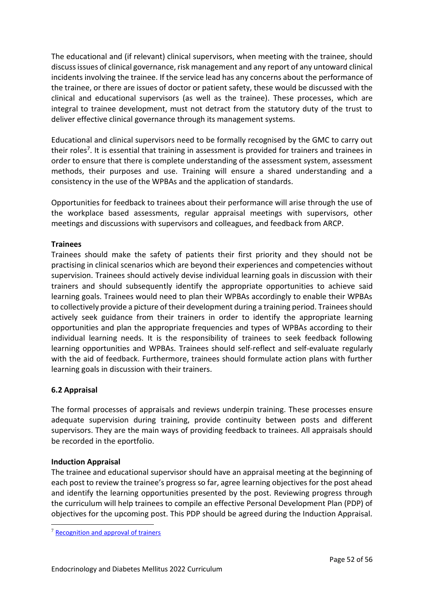The educational and (if relevant) clinical supervisors, when meeting with the trainee, should discuss issues of clinical governance, risk management and any report of any untoward clinical incidents involving the trainee. If the service lead has any concerns about the performance of the trainee, or there are issues of doctor or patient safety, these would be discussed with the clinical and educational supervisors (as well as the trainee). These processes, which are integral to trainee development, must not detract from the statutory duty of the trust to deliver effective clinical governance through its management systems.

Educational and clinical supervisors need to be formally recognised by the GMC to carry out their roles<sup>7</sup>. It is essential that training in assessment is provided for trainers and trainees in order to ensure that there is complete understanding of the assessment system, assessment methods, their purposes and use. Training will ensure a shared understanding and a consistency in the use of the WPBAs and the application of standards.

Opportunities for feedback to trainees about their performance will arise through the use of the workplace based assessments, regular appraisal meetings with supervisors, other meetings and discussions with supervisors and colleagues, and feedback from ARCP.

# **Trainees**

Trainees should make the safety of patients their first priority and they should not be practising in clinical scenarios which are beyond their experiences and competencies without supervision. Trainees should actively devise individual learning goals in discussion with their trainers and should subsequently identify the appropriate opportunities to achieve said learning goals. Trainees would need to plan their WPBAs accordingly to enable their WPBAs to collectively provide a picture of their development during a training period. Trainees should actively seek guidance from their trainers in order to identify the appropriate learning opportunities and plan the appropriate frequencies and types of WPBAs according to their individual learning needs. It is the responsibility of trainees to seek feedback following learning opportunities and WPBAs. Trainees should self-reflect and self-evaluate regularly with the aid of feedback. Furthermore, trainees should formulate action plans with further learning goals in discussion with their trainers.

# <span id="page-51-0"></span>**6.2 Appraisal**

The formal processes of appraisals and reviews underpin training. These processes ensure adequate supervision during training, provide continuity between posts and different supervisors. They are the main ways of providing feedback to trainees. All appraisals should be recorded in the eportfolio.

## **Induction Appraisal**

The trainee and educational supervisor should have an appraisal meeting at the beginning of each post to review the trainee's progress so far, agree learning objectives for the post ahead and identify the learning opportunities presented by the post. Reviewing progress through the curriculum will help trainees to compile an effective Personal Development Plan (PDP) of objectives for the upcoming post. This PDP should be agreed during the Induction Appraisal.

<sup>7</sup> [Recognition and approval of trainers](http://www.gmc-uk.org/education/10264.asp)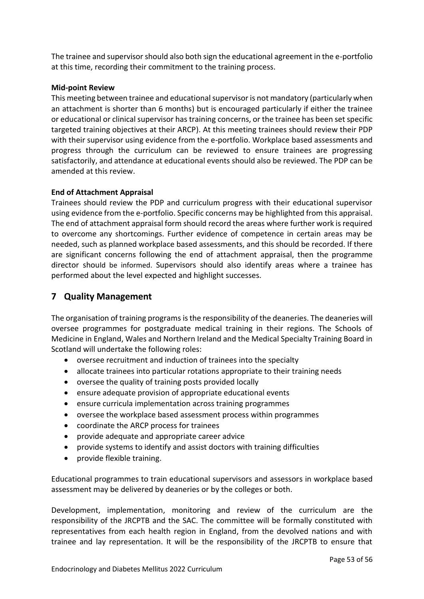The trainee and supervisor should also both sign the educational agreement in the e-portfolio at this time, recording their commitment to the training process.

### **Mid-point Review**

This meeting between trainee and educational supervisor is not mandatory (particularly when an attachment is shorter than 6 months) but is encouraged particularly if either the trainee or educational or clinical supervisor has training concerns, or the trainee has been set specific targeted training objectives at their ARCP). At this meeting trainees should review their PDP with their supervisor using evidence from the e-portfolio. Workplace based assessments and progress through the curriculum can be reviewed to ensure trainees are progressing satisfactorily, and attendance at educational events should also be reviewed. The PDP can be amended at this review.

### **End of Attachment Appraisal**

Trainees should review the PDP and curriculum progress with their educational supervisor using evidence from the e-portfolio. Specific concerns may be highlighted from this appraisal. The end of attachment appraisal form should record the areas where further work is required to overcome any shortcomings. Further evidence of competence in certain areas may be needed, such as planned workplace based assessments, and this should be recorded. If there are significant concerns following the end of attachment appraisal, then the programme director should be informed. Supervisors should also identify areas where a trainee has performed about the level expected and highlight successes.

# <span id="page-52-0"></span>**7 Quality Management**

The organisation of training programs is the responsibility of the deaneries. The deaneries will oversee programmes for postgraduate medical training in their regions. The Schools of Medicine in England, Wales and Northern Ireland and the Medical Specialty Training Board in Scotland will undertake the following roles:

- oversee recruitment and induction of trainees into the specialty
- allocate trainees into particular rotations appropriate to their training needs
- oversee the quality of training posts provided locally
- ensure adequate provision of appropriate educational events
- ensure curricula implementation across training programmes
- oversee the workplace based assessment process within programmes
- coordinate the ARCP process for trainees
- provide adequate and appropriate career advice
- provide systems to identify and assist doctors with training difficulties
- provide flexible training.

Educational programmes to train educational supervisors and assessors in workplace based assessment may be delivered by deaneries or by the colleges or both.

Development, implementation, monitoring and review of the curriculum are the responsibility of the JRCPTB and the SAC. The committee will be formally constituted with representatives from each health region in England, from the devolved nations and with trainee and lay representation. It will be the responsibility of the JRCPTB to ensure that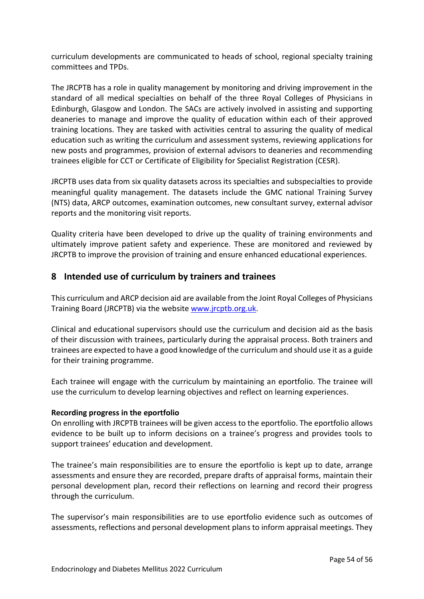curriculum developments are communicated to heads of school, regional specialty training committees and TPDs.

The JRCPTB has a role in quality management by monitoring and driving improvement in the standard of all medical specialties on behalf of the three Royal Colleges of Physicians in Edinburgh, Glasgow and London. The SACs are actively involved in assisting and supporting deaneries to manage and improve the quality of education within each of their approved training locations. They are tasked with activities central to assuring the quality of medical education such as writing the curriculum and assessment systems, reviewing applications for new posts and programmes, provision of external advisors to deaneries and recommending trainees eligible for CCT or Certificate of Eligibility for Specialist Registration (CESR).

JRCPTB uses data from six quality datasets across its specialties and subspecialties to provide meaningful quality management. The datasets include the GMC national Training Survey (NTS) data, ARCP outcomes, examination outcomes, new consultant survey, external advisor reports and the monitoring visit reports.

Quality criteria have been developed to drive up the quality of training environments and ultimately improve patient safety and experience. These are monitored and reviewed by JRCPTB to improve the provision of training and ensure enhanced educational experiences.

# <span id="page-53-0"></span>**8 Intended use of curriculum by trainers and trainees**

This curriculum and ARCP decision aid are available from the Joint Royal Colleges of Physicians Training Board (JRCPTB) via the website [www.jrcptb.org.uk.](http://www.jrcptb.org.uk/)

Clinical and educational supervisors should use the curriculum and decision aid as the basis of their discussion with trainees, particularly during the appraisal process. Both trainers and trainees are expected to have a good knowledge of the curriculum and should use it as a guide for their training programme.

Each trainee will engage with the curriculum by maintaining an eportfolio. The trainee will use the curriculum to develop learning objectives and reflect on learning experiences.

# **Recording progress in the eportfolio**

On enrolling with JRCPTB trainees will be given access to the eportfolio. The eportfolio allows evidence to be built up to inform decisions on a trainee's progress and provides tools to support trainees' education and development.

The trainee's main responsibilities are to ensure the eportfolio is kept up to date, arrange assessments and ensure they are recorded, prepare drafts of appraisal forms, maintain their personal development plan, record their reflections on learning and record their progress through the curriculum.

The supervisor's main responsibilities are to use eportfolio evidence such as outcomes of assessments, reflections and personal development plans to inform appraisal meetings. They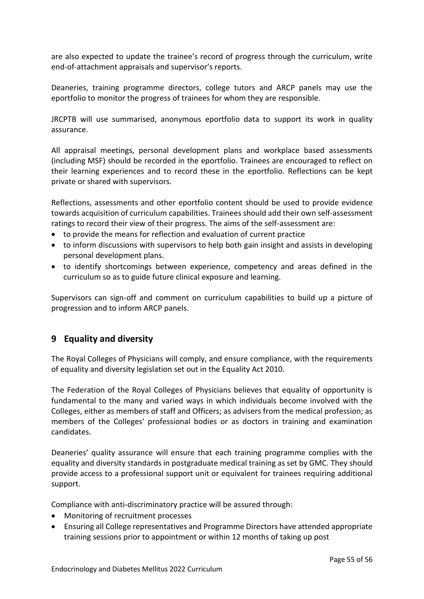are also expected to update the trainee's record of progress through the curriculum, write end-of-attachment appraisals and supervisor's reports.

Deaneries, training programme directors, college tutors and ARCP panels may use the eportfolio to monitor the progress of trainees for whom they are responsible.

JRCPTB will use summarised, anonymous eportfolio data to support its work in quality assurance.

All appraisal meetings, personal development plans and workplace based assessments (including MSF) should be recorded in the eportfolio. Trainees are encouraged to reflect on their learning experiences and to record these in the eportfolio. Reflections can be kept private or shared with supervisors.

Reflections, assessments and other eportfolio content should be used to provide evidence towards acquisition of curriculum capabilities. Trainees should add their own self-assessment ratings to record their view of their progress. The aims of the self-assessment are:

- to provide the means for reflection and evaluation of current practice
- to inform discussions with supervisors to help both gain insight and assists in developing personal development plans.
- to identify shortcomings between experience, competency and areas defined in the curriculum so as to guide future clinical exposure and learning.

Supervisors can sign-off and comment on curriculum capabilities to build up a picture of progression and to inform ARCP panels.

# <span id="page-54-0"></span>**9 Equality and diversity**

The Royal Colleges of Physicians will comply, and ensure compliance, with the requirements of equality and diversity legislation set out in the Equality Act 2010.

The Federation of the Royal Colleges of Physicians believes that equality of opportunity is fundamental to the many and varied ways in which individuals become involved with the Colleges, either as members of staff and Officers; as advisers from the medical profession; as members of the Colleges' professional bodies or as doctors in training and examination candidates.

Deaneries' quality assurance will ensure that each training programme complies with the equality and diversity standards in postgraduate medical training as set by GMC. They should provide access to a professional support unit or equivalent for trainees requiring additional support.

Compliance with anti-discriminatory practice will be assured through:

- Monitoring of recruitment processes
- Ensuring all College representatives and Programme Directors have attended appropriate training sessions prior to appointment or within 12 months of taking up post